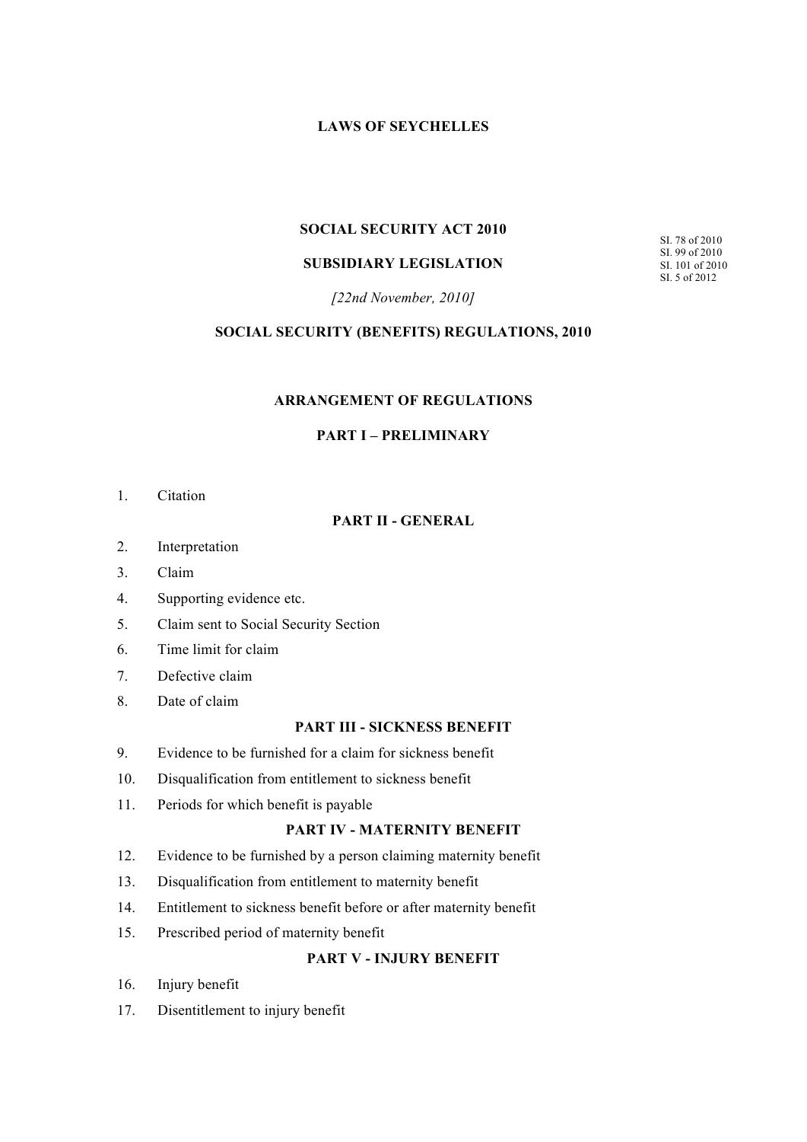# **LAWS OF SEYCHELLES**

# **SOCIAL SECURITY ACT 2010**

# **SUBSIDIARY LEGISLATION**

SI. 78 of 2010 SI. 99 of 2010 SI. 101 of 2010 SI. 5 of 2012

*[22nd November, 2010]*

#### **SOCIAL SECURITY (BENEFITS) REGULATIONS, 2010**

#### **ARRANGEMENT OF REGULATIONS**

# **PART I – PRELIMINARY**

1. Citation

# **PART II - GENERAL**

- 2. Interpretation
- 3. Claim
- 4. Supporting evidence etc.
- 5. Claim sent to Social Security Section
- 6. Time limit for claim
- 7. Defective claim
- 8. Date of claim

# **PART III - SICKNESS BENEFIT**

- 9. Evidence to be furnished for a claim for sickness benefit
- 10. Disqualification from entitlement to sickness benefit
- 11. Periods for which benefit is payable

# **PART IV - MATERNITY BENEFIT**

- 12. Evidence to be furnished by a person claiming maternity benefit
- 13. Disqualification from entitlement to maternity benefit
- 14. Entitlement to sickness benefit before or after maternity benefit
- 15. Prescribed period of maternity benefit

# **PART V - INJURY BENEFIT**

- 16. Injury benefit
- 17. Disentitlement to injury benefit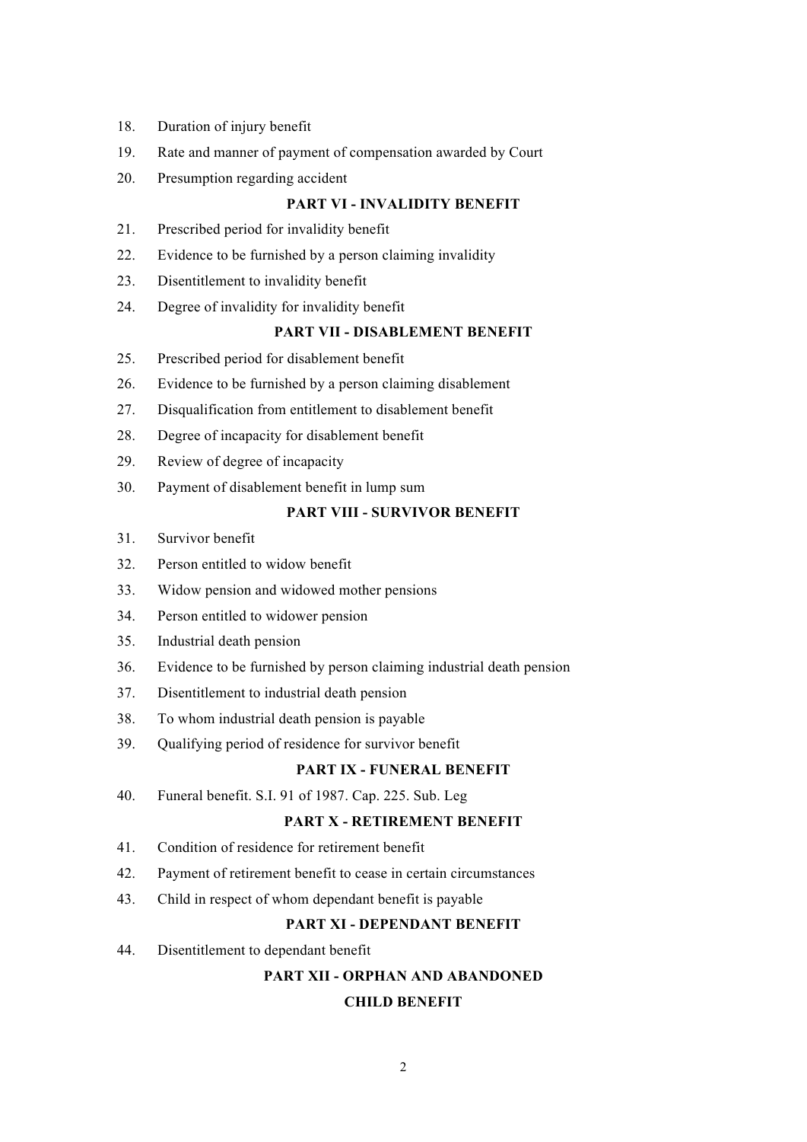- 18. Duration of injury benefit
- 19. Rate and manner of payment of compensation awarded by Court
- 20. Presumption regarding accident

# **PART VI - INVALIDITY BENEFIT**

- 21. Prescribed period for invalidity benefit
- 22. Evidence to be furnished by a person claiming invalidity
- 23. Disentitlement to invalidity benefit
- 24. Degree of invalidity for invalidity benefit

# **PART VII - DISABLEMENT BENEFIT**

- 25. Prescribed period for disablement benefit
- 26. Evidence to be furnished by a person claiming disablement
- 27. Disqualification from entitlement to disablement benefit
- 28. Degree of incapacity for disablement benefit
- 29. Review of degree of incapacity
- 30. Payment of disablement benefit in lump sum

# **PART VIII - SURVIVOR BENEFIT**

- 31. Survivor benefit
- 32. Person entitled to widow benefit
- 33. Widow pension and widowed mother pensions
- 34. Person entitled to widower pension
- 35. Industrial death pension
- 36. Evidence to be furnished by person claiming industrial death pension
- 37. Disentitlement to industrial death pension
- 38. To whom industrial death pension is payable
- 39. Qualifying period of residence for survivor benefit

#### **PART IX - FUNERAL BENEFIT**

40. Funeral benefit. S.I. 91 of 1987. Cap. 225. Sub. Leg

# **PART X - RETIREMENT BENEFIT**

- 41. Condition of residence for retirement benefit
- 42. Payment of retirement benefit to cease in certain circumstances
- 43. Child in respect of whom dependant benefit is payable

#### **PART XI - DEPENDANT BENEFIT**

44. Disentitlement to dependant benefit

# **PART XII - ORPHAN AND ABANDONED**

# **CHILD BENEFIT**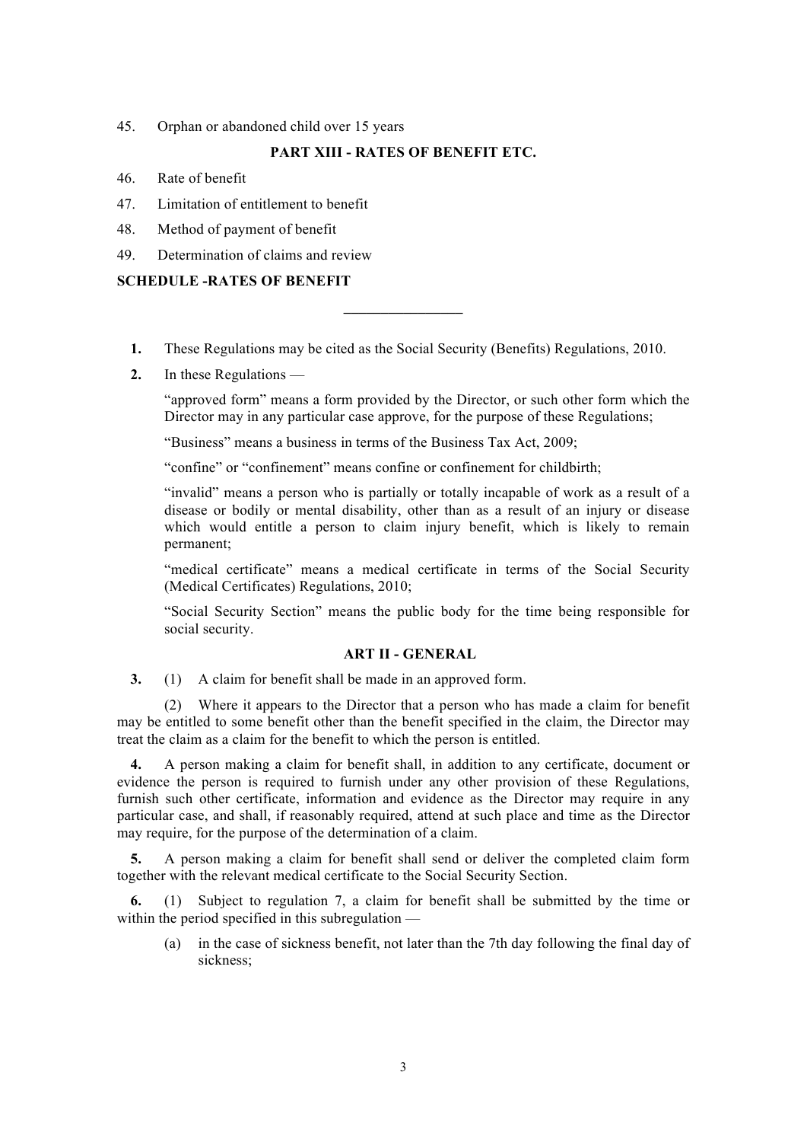45. Orphan or abandoned child over 15 years

# **PART XIII - RATES OF BENEFIT ETC.**

- 46. Rate of benefit
- 47. Limitation of entitlement to benefit
- 48. Method of payment of benefit
- 49. Determination of claims and review

# **SCHEDULE -RATES OF BENEFIT**

**1.** These Regulations may be cited as the Social Security (Benefits) Regulations, 2010.

**\_\_\_\_\_\_\_\_\_\_\_\_\_\_\_\_**

**2.** In these Regulations —

"approved form" means a form provided by the Director, or such other form which the Director may in any particular case approve, for the purpose of these Regulations;

"Business" means a business in terms of the Business Tax Act, 2009;

"confine" or "confinement" means confine or confinement for childbirth;

"invalid" means a person who is partially or totally incapable of work as a result of a disease or bodily or mental disability, other than as a result of an injury or disease which would entitle a person to claim injury benefit, which is likely to remain permanent;

"medical certificate" means a medical certificate in terms of the Social Security (Medical Certificates) Regulations, 2010;

"Social Security Section" means the public body for the time being responsible for social security.

# **ART II - GENERAL**

**3.** (1) A claim for benefit shall be made in an approved form.

(2) Where it appears to the Director that a person who has made a claim for benefit may be entitled to some benefit other than the benefit specified in the claim, the Director may treat the claim as a claim for the benefit to which the person is entitled.

**4.** A person making a claim for benefit shall, in addition to any certificate, document or evidence the person is required to furnish under any other provision of these Regulations, furnish such other certificate, information and evidence as the Director may require in any particular case, and shall, if reasonably required, attend at such place and time as the Director may require, for the purpose of the determination of a claim.

**5.** A person making a claim for benefit shall send or deliver the completed claim form together with the relevant medical certificate to the Social Security Section.

**6.** (1) Subject to regulation 7, a claim for benefit shall be submitted by the time or within the period specified in this subregulation —

(a) in the case of sickness benefit, not later than the 7th day following the final day of sickness;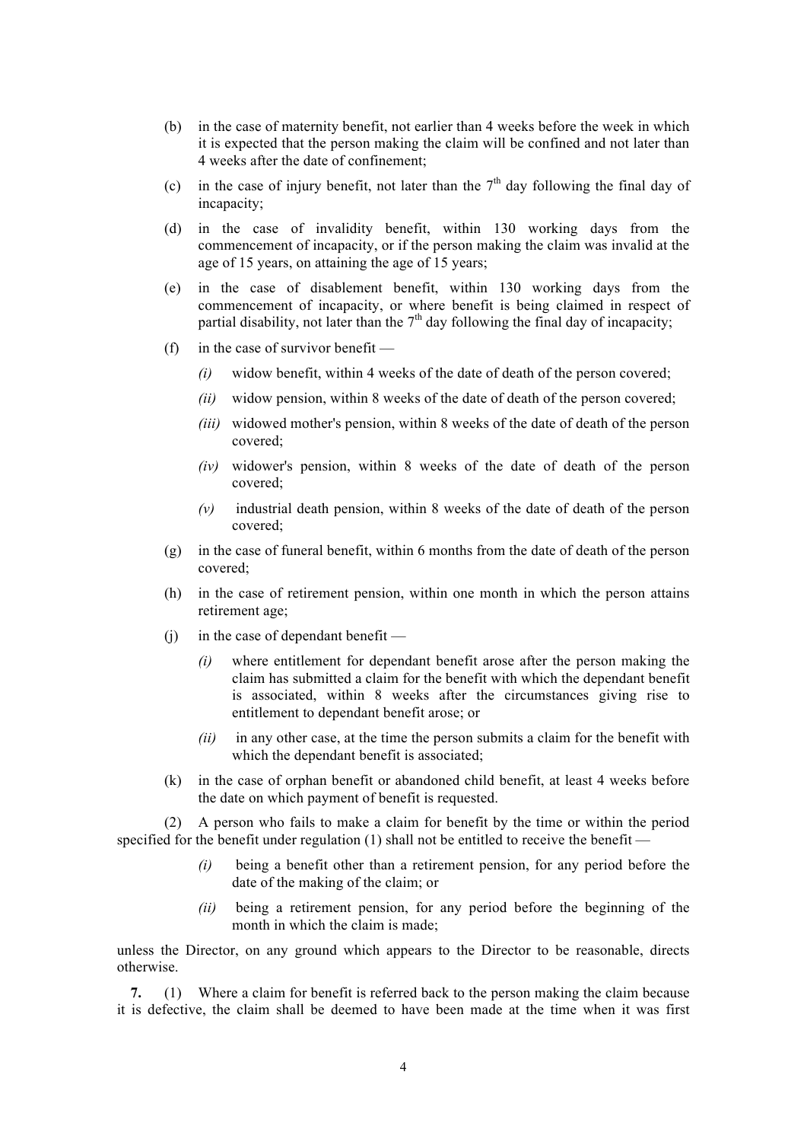- (b) in the case of maternity benefit, not earlier than 4 weeks before the week in which it is expected that the person making the claim will be confined and not later than 4 weeks after the date of confinement;
- (c) in the case of injury benefit, not later than the  $7<sup>th</sup>$  day following the final day of incapacity;
- (d) in the case of invalidity benefit, within 130 working days from the commencement of incapacity, or if the person making the claim was invalid at the age of 15 years, on attaining the age of 15 years;
- (e) in the case of disablement benefit, within 130 working days from the commencement of incapacity, or where benefit is being claimed in respect of partial disability, not later than the  $7<sup>th</sup>$  day following the final day of incapacity;
- (f) in the case of survivor benefit
	- *(i)* widow benefit, within 4 weeks of the date of death of the person covered;
	- *(ii)* widow pension, within 8 weeks of the date of death of the person covered;
	- *(iii)* widowed mother's pension, within 8 weeks of the date of death of the person covered;
	- *(iv)* widower's pension, within 8 weeks of the date of death of the person covered;
	- *(v)* industrial death pension, within 8 weeks of the date of death of the person covered;
- (g) in the case of funeral benefit, within 6 months from the date of death of the person covered;
- (h) in the case of retirement pension, within one month in which the person attains retirement age;
- $(i)$  in the case of dependant benefit
	- *(i)* where entitlement for dependant benefit arose after the person making the claim has submitted a claim for the benefit with which the dependant benefit is associated, within 8 weeks after the circumstances giving rise to entitlement to dependant benefit arose; or
	- *(ii)* in any other case, at the time the person submits a claim for the benefit with which the dependant benefit is associated;
- (k) in the case of orphan benefit or abandoned child benefit, at least 4 weeks before the date on which payment of benefit is requested.

(2) A person who fails to make a claim for benefit by the time or within the period specified for the benefit under regulation (1) shall not be entitled to receive the benefit —

- *(i)* being a benefit other than a retirement pension, for any period before the date of the making of the claim; or
- *(ii)* being a retirement pension, for any period before the beginning of the month in which the claim is made;

unless the Director, on any ground which appears to the Director to be reasonable, directs otherwise.

**7.** (1) Where a claim for benefit is referred back to the person making the claim because it is defective, the claim shall be deemed to have been made at the time when it was first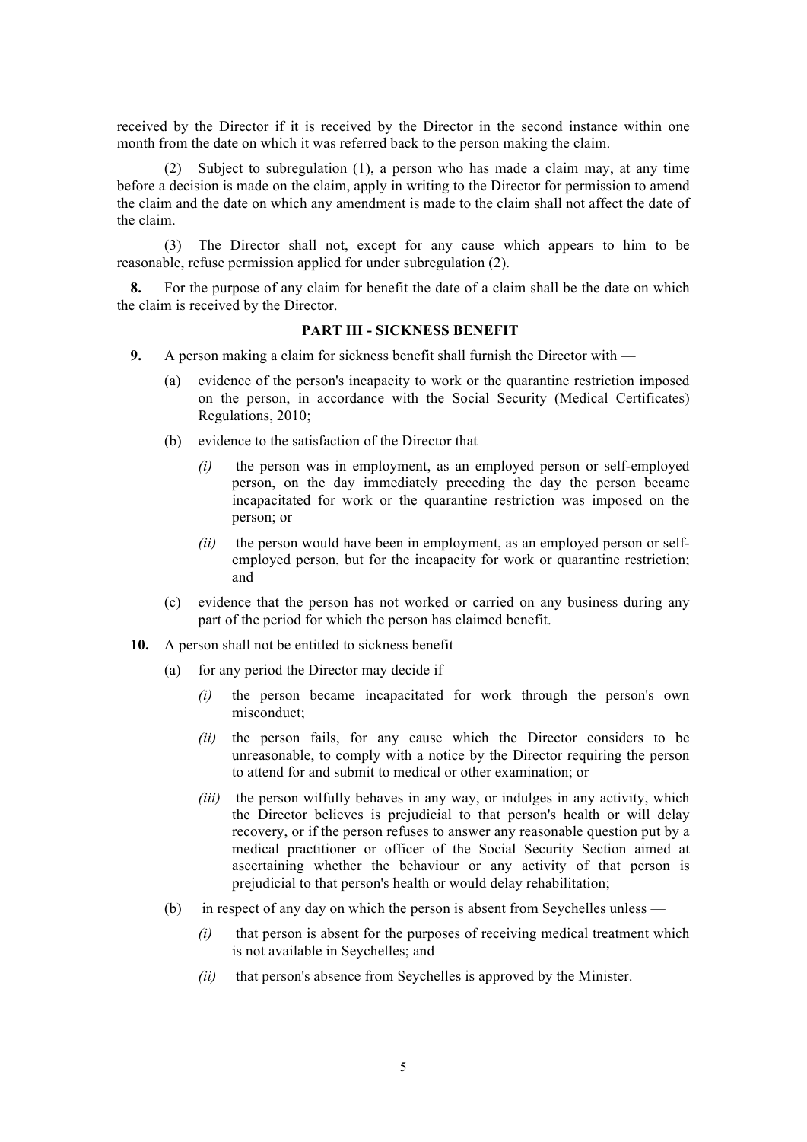received by the Director if it is received by the Director in the second instance within one month from the date on which it was referred back to the person making the claim.

(2) Subject to subregulation (1), a person who has made a claim may, at any time before a decision is made on the claim, apply in writing to the Director for permission to amend the claim and the date on which any amendment is made to the claim shall not affect the date of the claim.

(3) The Director shall not, except for any cause which appears to him to be reasonable, refuse permission applied for under subregulation (2).

**8.** For the purpose of any claim for benefit the date of a claim shall be the date on which the claim is received by the Director.

# **PART III - SICKNESS BENEFIT**

- **9.** A person making a claim for sickness benefit shall furnish the Director with
	- (a) evidence of the person's incapacity to work or the quarantine restriction imposed on the person, in accordance with the Social Security (Medical Certificates) Regulations, 2010;
	- (b) evidence to the satisfaction of the Director that—
		- *(i)* the person was in employment, as an employed person or self-employed person, on the day immediately preceding the day the person became incapacitated for work or the quarantine restriction was imposed on the person; or
		- *(ii)* the person would have been in employment, as an employed person or selfemployed person, but for the incapacity for work or quarantine restriction; and
	- (c) evidence that the person has not worked or carried on any business during any part of the period for which the person has claimed benefit.
- **10.** A person shall not be entitled to sickness benefit
	- (a) for any period the Director may decide if  $-$ 
		- *(i)* the person became incapacitated for work through the person's own misconduct;
		- *(ii)* the person fails, for any cause which the Director considers to be unreasonable, to comply with a notice by the Director requiring the person to attend for and submit to medical or other examination; or
		- *(iii)* the person wilfully behaves in any way, or indulges in any activity, which the Director believes is prejudicial to that person's health or will delay recovery, or if the person refuses to answer any reasonable question put by a medical practitioner or officer of the Social Security Section aimed at ascertaining whether the behaviour or any activity of that person is prejudicial to that person's health or would delay rehabilitation;
	- (b) in respect of any day on which the person is absent from Seychelles unless
		- *(i)* that person is absent for the purposes of receiving medical treatment which is not available in Seychelles; and
		- *(ii)* that person's absence from Seychelles is approved by the Minister.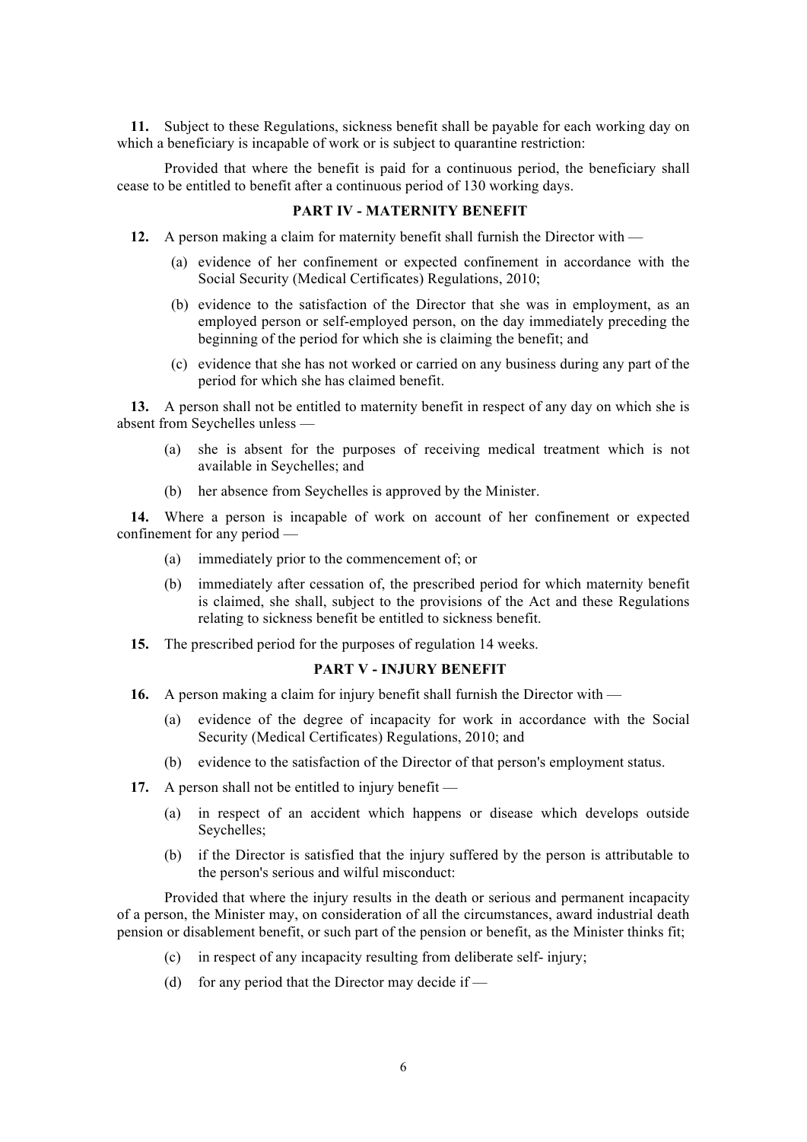**11.** Subject to these Regulations, sickness benefit shall be payable for each working day on which a beneficiary is incapable of work or is subject to quarantine restriction:

Provided that where the benefit is paid for a continuous period, the beneficiary shall cease to be entitled to benefit after a continuous period of 130 working days.

# **PART IV - MATERNITY BENEFIT**

- **12.** A person making a claim for maternity benefit shall furnish the Director with
	- (a) evidence of her confinement or expected confinement in accordance with the Social Security (Medical Certificates) Regulations, 2010;
	- (b) evidence to the satisfaction of the Director that she was in employment, as an employed person or self-employed person, on the day immediately preceding the beginning of the period for which she is claiming the benefit; and
	- (c) evidence that she has not worked or carried on any business during any part of the period for which she has claimed benefit.

**13.** A person shall not be entitled to maternity benefit in respect of any day on which she is absent from Seychelles unless —

- (a) she is absent for the purposes of receiving medical treatment which is not available in Seychelles; and
- (b) her absence from Seychelles is approved by the Minister.

**14.** Where a person is incapable of work on account of her confinement or expected confinement for any period —

- (a) immediately prior to the commencement of; or
- (b) immediately after cessation of, the prescribed period for which maternity benefit is claimed, she shall, subject to the provisions of the Act and these Regulations relating to sickness benefit be entitled to sickness benefit.
- **15.** The prescribed period for the purposes of regulation 14 weeks.

# **PART V - INJURY BENEFIT**

- **16.** A person making a claim for injury benefit shall furnish the Director with
	- (a) evidence of the degree of incapacity for work in accordance with the Social Security (Medical Certificates) Regulations, 2010; and
	- (b) evidence to the satisfaction of the Director of that person's employment status.
- **17.** A person shall not be entitled to injury benefit
	- (a) in respect of an accident which happens or disease which develops outside Seychelles;
	- (b) if the Director is satisfied that the injury suffered by the person is attributable to the person's serious and wilful misconduct:

Provided that where the injury results in the death or serious and permanent incapacity of a person, the Minister may, on consideration of all the circumstances, award industrial death pension or disablement benefit, or such part of the pension or benefit, as the Minister thinks fit;

- (c) in respect of any incapacity resulting from deliberate self- injury;
- (d) for any period that the Director may decide if  $-$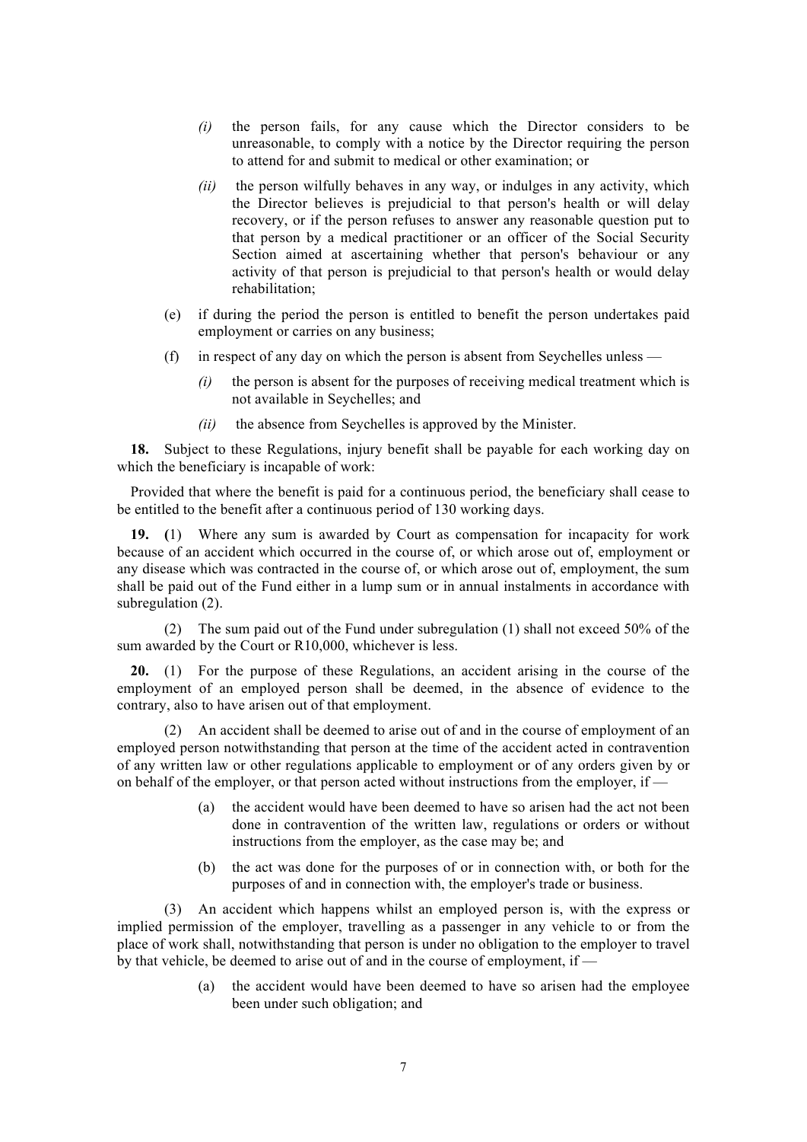- *(i)* the person fails, for any cause which the Director considers to be unreasonable, to comply with a notice by the Director requiring the person to attend for and submit to medical or other examination; or
- *(ii)* the person wilfully behaves in any way, or indulges in any activity, which the Director believes is prejudicial to that person's health or will delay recovery, or if the person refuses to answer any reasonable question put to that person by a medical practitioner or an officer of the Social Security Section aimed at ascertaining whether that person's behaviour or any activity of that person is prejudicial to that person's health or would delay rehabilitation;
- (e) if during the period the person is entitled to benefit the person undertakes paid employment or carries on any business;
- (f) in respect of any day on which the person is absent from Seychelles unless
	- *(i)* the person is absent for the purposes of receiving medical treatment which is not available in Seychelles; and
	- *(ii)* the absence from Seychelles is approved by the Minister.

**18.** Subject to these Regulations, injury benefit shall be payable for each working day on which the beneficiary is incapable of work:

Provided that where the benefit is paid for a continuous period, the beneficiary shall cease to be entitled to the benefit after a continuous period of 130 working days.

**19. (**1) Where any sum is awarded by Court as compensation for incapacity for work because of an accident which occurred in the course of, or which arose out of, employment or any disease which was contracted in the course of, or which arose out of, employment, the sum shall be paid out of the Fund either in a lump sum or in annual instalments in accordance with subregulation (2).

(2) The sum paid out of the Fund under subregulation (1) shall not exceed 50% of the sum awarded by the Court or R10,000, whichever is less.

**20.** (1) For the purpose of these Regulations, an accident arising in the course of the employment of an employed person shall be deemed, in the absence of evidence to the contrary, also to have arisen out of that employment.

(2) An accident shall be deemed to arise out of and in the course of employment of an employed person notwithstanding that person at the time of the accident acted in contravention of any written law or other regulations applicable to employment or of any orders given by or on behalf of the employer, or that person acted without instructions from the employer, if —

- (a) the accident would have been deemed to have so arisen had the act not been done in contravention of the written law, regulations or orders or without instructions from the employer, as the case may be; and
- (b) the act was done for the purposes of or in connection with, or both for the purposes of and in connection with, the employer's trade or business.

(3) An accident which happens whilst an employed person is, with the express or implied permission of the employer, travelling as a passenger in any vehicle to or from the place of work shall, notwithstanding that person is under no obligation to the employer to travel by that vehicle, be deemed to arise out of and in the course of employment, if —

> (a) the accident would have been deemed to have so arisen had the employee been under such obligation; and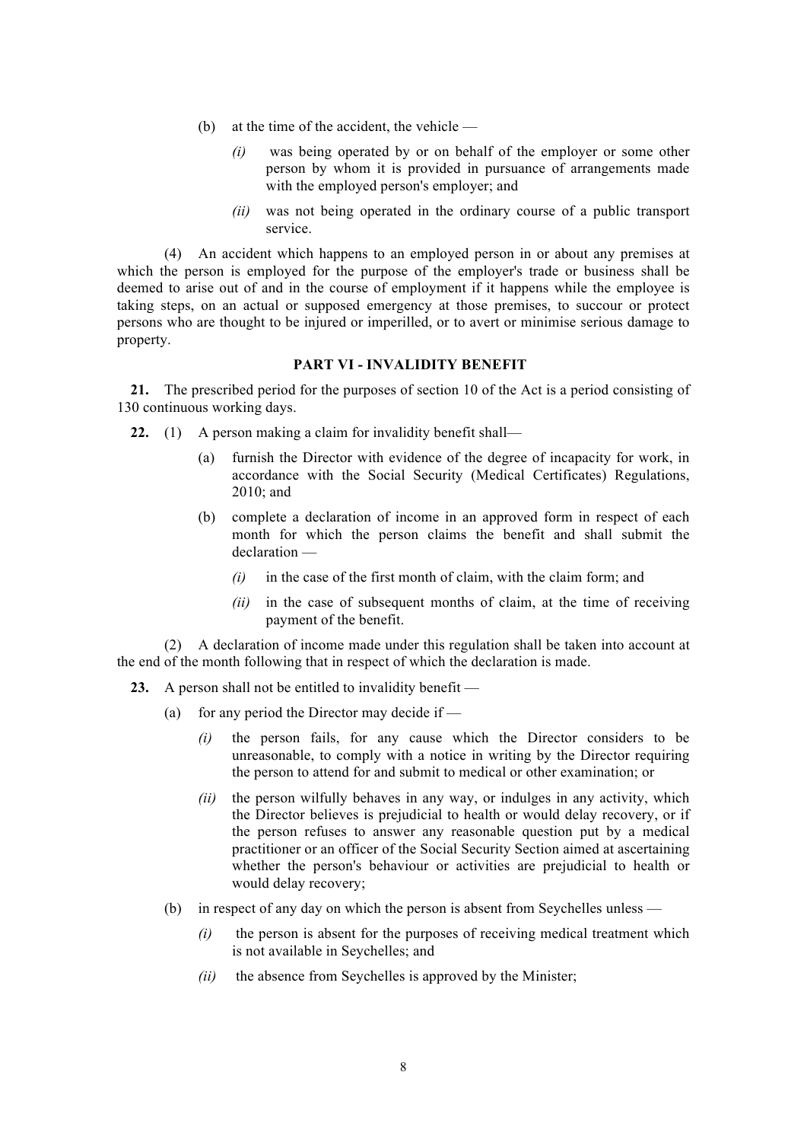- (b) at the time of the accident, the vehicle
	- *(i)* was being operated by or on behalf of the employer or some other person by whom it is provided in pursuance of arrangements made with the employed person's employer; and
	- *(ii)* was not being operated in the ordinary course of a public transport service.

(4) An accident which happens to an employed person in or about any premises at which the person is employed for the purpose of the employer's trade or business shall be deemed to arise out of and in the course of employment if it happens while the employee is taking steps, on an actual or supposed emergency at those premises, to succour or protect persons who are thought to be injured or imperilled, or to avert or minimise serious damage to property.

# **PART VI - INVALIDITY BENEFIT**

**21.** The prescribed period for the purposes of section 10 of the Act is a period consisting of 130 continuous working days.

- **22.** (1) A person making a claim for invalidity benefit shall—
	- (a) furnish the Director with evidence of the degree of incapacity for work, in accordance with the Social Security (Medical Certificates) Regulations, 2010; and
	- (b) complete a declaration of income in an approved form in respect of each month for which the person claims the benefit and shall submit the declaration —
		- *(i)* in the case of the first month of claim, with the claim form; and
		- *(ii)* in the case of subsequent months of claim, at the time of receiving payment of the benefit.

(2) A declaration of income made under this regulation shall be taken into account at the end of the month following that in respect of which the declaration is made.

- **23.** A person shall not be entitled to invalidity benefit
	- (a) for any period the Director may decide if  $-$ 
		- *(i)* the person fails, for any cause which the Director considers to be unreasonable, to comply with a notice in writing by the Director requiring the person to attend for and submit to medical or other examination; or
		- *(ii)* the person wilfully behaves in any way, or indulges in any activity, which the Director believes is prejudicial to health or would delay recovery, or if the person refuses to answer any reasonable question put by a medical practitioner or an officer of the Social Security Section aimed at ascertaining whether the person's behaviour or activities are prejudicial to health or would delay recovery;
	- (b) in respect of any day on which the person is absent from Seychelles unless
		- *(i)* the person is absent for the purposes of receiving medical treatment which is not available in Seychelles; and
		- *(ii)* the absence from Seychelles is approved by the Minister;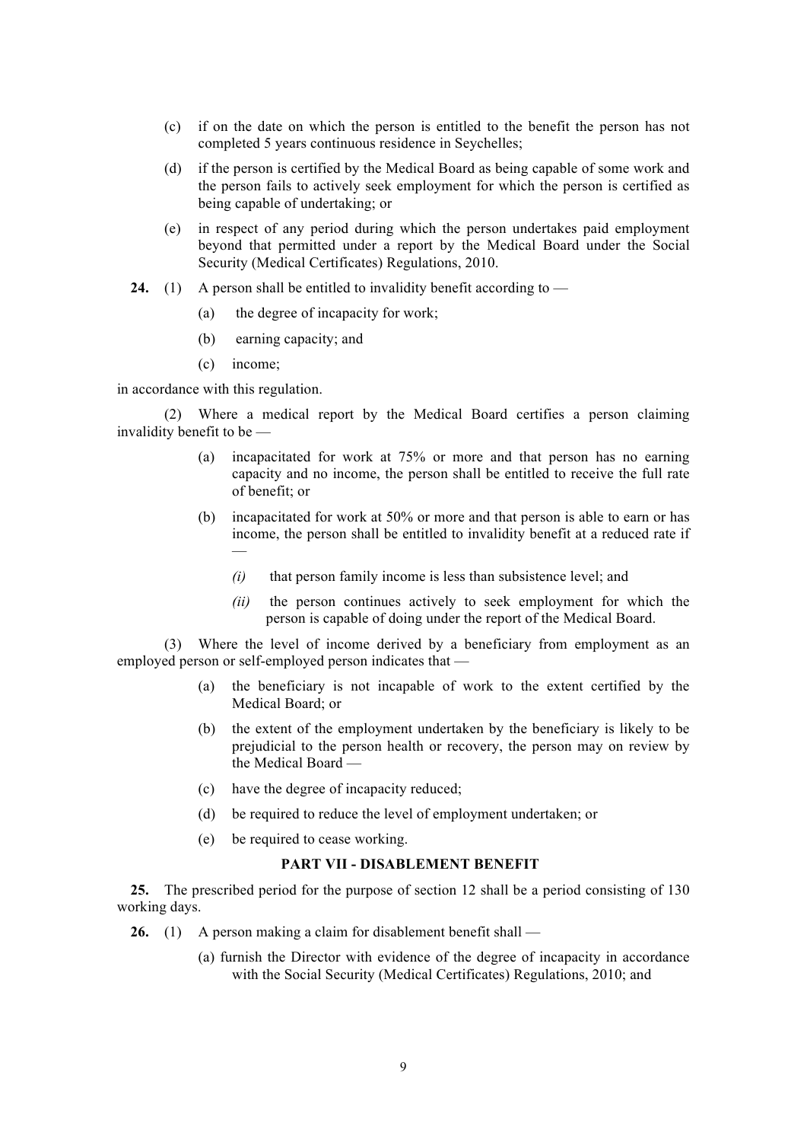- (c) if on the date on which the person is entitled to the benefit the person has not completed 5 years continuous residence in Seychelles;
- (d) if the person is certified by the Medical Board as being capable of some work and the person fails to actively seek employment for which the person is certified as being capable of undertaking; or
- (e) in respect of any period during which the person undertakes paid employment beyond that permitted under a report by the Medical Board under the Social Security (Medical Certificates) Regulations, 2010.
- **24.** (1) A person shall be entitled to invalidity benefit according to
	- (a) the degree of incapacity for work;
	- (b) earning capacity; and
	- (c) income;

in accordance with this regulation.

(2) Where a medical report by the Medical Board certifies a person claiming invalidity benefit to be —

- (a) incapacitated for work at 75% or more and that person has no earning capacity and no income, the person shall be entitled to receive the full rate of benefit; or
- (b) incapacitated for work at 50% or more and that person is able to earn or has income, the person shall be entitled to invalidity benefit at a reduced rate if —
	- *(i)* that person family income is less than subsistence level; and
	- *(ii)* the person continues actively to seek employment for which the person is capable of doing under the report of the Medical Board.

(3) Where the level of income derived by a beneficiary from employment as an employed person or self-employed person indicates that —

- (a) the beneficiary is not incapable of work to the extent certified by the Medical Board; or
- (b) the extent of the employment undertaken by the beneficiary is likely to be prejudicial to the person health or recovery, the person may on review by the Medical Board —
- (c) have the degree of incapacity reduced;
- (d) be required to reduce the level of employment undertaken; or
- (e) be required to cease working.

# **PART VII - DISABLEMENT BENEFIT**

**25.** The prescribed period for the purpose of section 12 shall be a period consisting of 130 working days.

- **26.** (1) A person making a claim for disablement benefit shall
	- (a) furnish the Director with evidence of the degree of incapacity in accordance with the Social Security (Medical Certificates) Regulations, 2010; and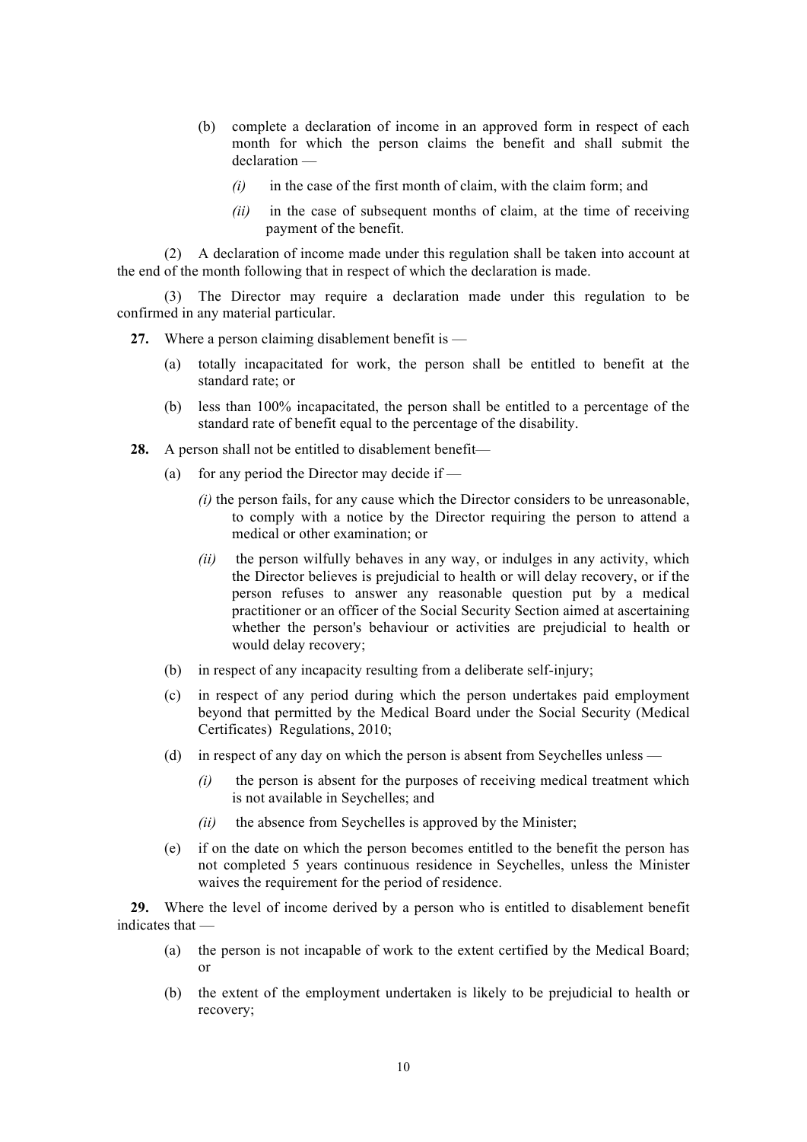- (b) complete a declaration of income in an approved form in respect of each month for which the person claims the benefit and shall submit the declaration —
	- *(i)* in the case of the first month of claim, with the claim form; and
	- *(ii)* in the case of subsequent months of claim, at the time of receiving payment of the benefit.

(2) A declaration of income made under this regulation shall be taken into account at the end of the month following that in respect of which the declaration is made.

(3) The Director may require a declaration made under this regulation to be confirmed in any material particular.

**27.** Where a person claiming disablement benefit is —

- (a) totally incapacitated for work, the person shall be entitled to benefit at the standard rate; or
- (b) less than 100% incapacitated, the person shall be entitled to a percentage of the standard rate of benefit equal to the percentage of the disability.
- **28.** A person shall not be entitled to disablement benefit—
	- (a) for any period the Director may decide if  $-$ 
		- *(i)* the person fails, for any cause which the Director considers to be unreasonable, to comply with a notice by the Director requiring the person to attend a medical or other examination; or
		- *(ii)* the person wilfully behaves in any way, or indulges in any activity, which the Director believes is prejudicial to health or will delay recovery, or if the person refuses to answer any reasonable question put by a medical practitioner or an officer of the Social Security Section aimed at ascertaining whether the person's behaviour or activities are prejudicial to health or would delay recovery;
	- (b) in respect of any incapacity resulting from a deliberate self-injury;
	- (c) in respect of any period during which the person undertakes paid employment beyond that permitted by the Medical Board under the Social Security (Medical Certificates) Regulations, 2010;
	- (d) in respect of any day on which the person is absent from Seychelles unless
		- *(i)* the person is absent for the purposes of receiving medical treatment which is not available in Seychelles; and
		- *(ii)* the absence from Seychelles is approved by the Minister;
	- (e) if on the date on which the person becomes entitled to the benefit the person has not completed 5 years continuous residence in Seychelles, unless the Minister waives the requirement for the period of residence.

**29.** Where the level of income derived by a person who is entitled to disablement benefit indicates that —

- (a) the person is not incapable of work to the extent certified by the Medical Board; or
- (b) the extent of the employment undertaken is likely to be prejudicial to health or recovery;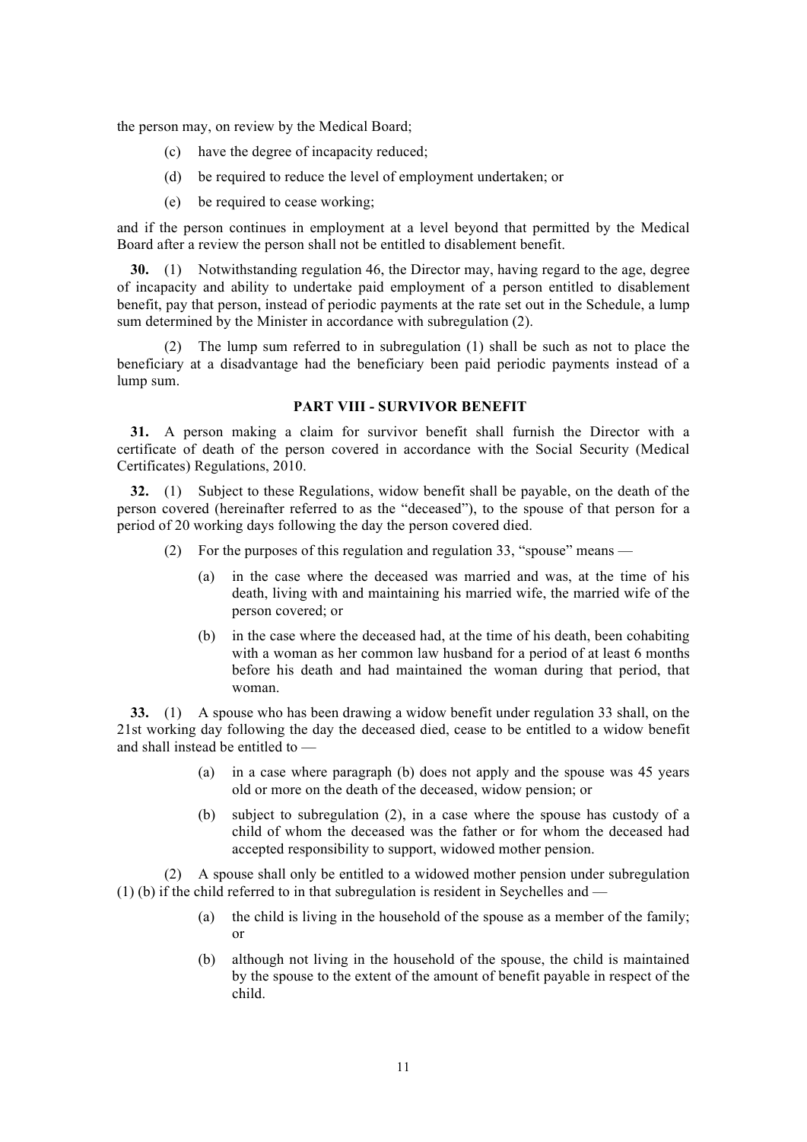the person may, on review by the Medical Board;

- (c) have the degree of incapacity reduced;
- (d) be required to reduce the level of employment undertaken; or
- (e) be required to cease working;

and if the person continues in employment at a level beyond that permitted by the Medical Board after a review the person shall not be entitled to disablement benefit.

**30.** (1) Notwithstanding regulation 46, the Director may, having regard to the age, degree of incapacity and ability to undertake paid employment of a person entitled to disablement benefit, pay that person, instead of periodic payments at the rate set out in the Schedule, a lump sum determined by the Minister in accordance with subregulation (2).

(2) The lump sum referred to in subregulation (1) shall be such as not to place the beneficiary at a disadvantage had the beneficiary been paid periodic payments instead of a lump sum.

#### **PART VIII - SURVIVOR BENEFIT**

**31.** A person making a claim for survivor benefit shall furnish the Director with a certificate of death of the person covered in accordance with the Social Security (Medical Certificates) Regulations, 2010.

**32.** (1) Subject to these Regulations, widow benefit shall be payable, on the death of the person covered (hereinafter referred to as the "deceased"), to the spouse of that person for a period of 20 working days following the day the person covered died.

- (2) For the purposes of this regulation and regulation 33, "spouse" means
	- (a) in the case where the deceased was married and was, at the time of his death, living with and maintaining his married wife, the married wife of the person covered; or
	- (b) in the case where the deceased had, at the time of his death, been cohabiting with a woman as her common law husband for a period of at least 6 months before his death and had maintained the woman during that period, that woman.

**33.** (1) A spouse who has been drawing a widow benefit under regulation 33 shall, on the 21st working day following the day the deceased died, cease to be entitled to a widow benefit and shall instead be entitled to —

- (a) in a case where paragraph (b) does not apply and the spouse was 45 years old or more on the death of the deceased, widow pension; or
- (b) subject to subregulation (2), in a case where the spouse has custody of a child of whom the deceased was the father or for whom the deceased had accepted responsibility to support, widowed mother pension.

(2) A spouse shall only be entitled to a widowed mother pension under subregulation (1) (b) if the child referred to in that subregulation is resident in Seychelles and —

- (a) the child is living in the household of the spouse as a member of the family; or
- (b) although not living in the household of the spouse, the child is maintained by the spouse to the extent of the amount of benefit payable in respect of the child.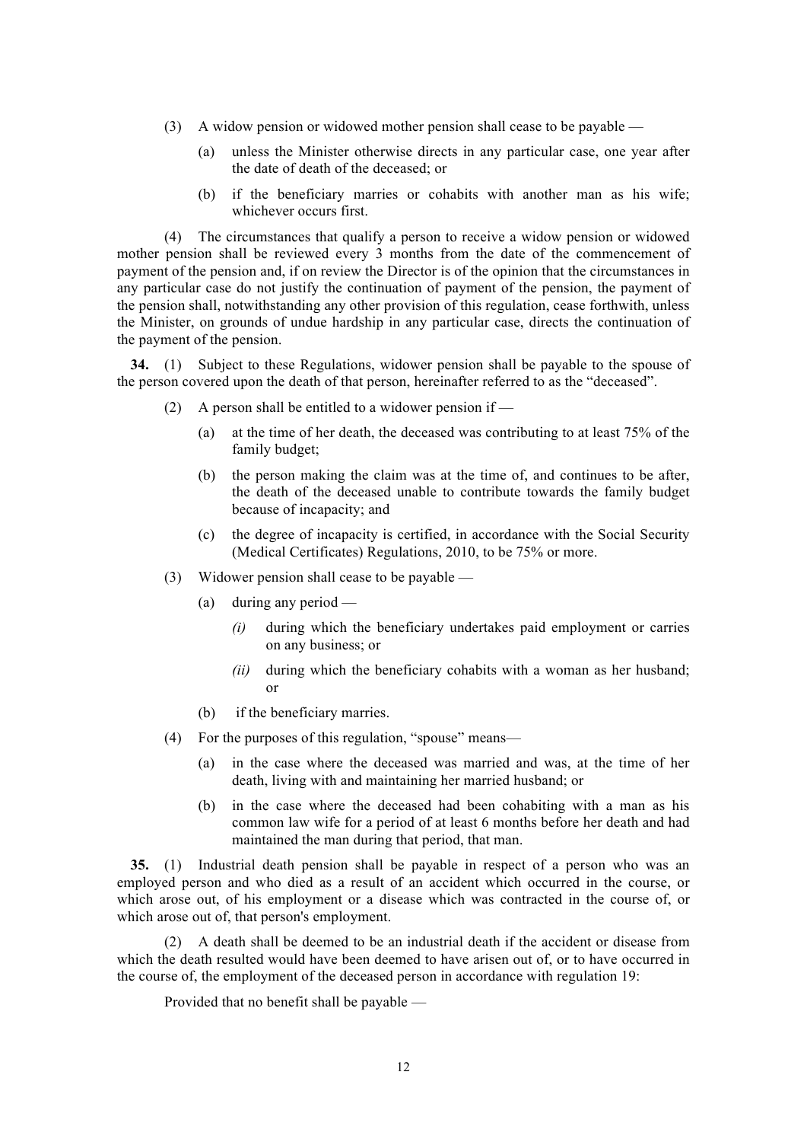- (3) A widow pension or widowed mother pension shall cease to be payable
	- (a) unless the Minister otherwise directs in any particular case, one year after the date of death of the deceased; or
	- (b) if the beneficiary marries or cohabits with another man as his wife; whichever occurs first.

(4) The circumstances that qualify a person to receive a widow pension or widowed mother pension shall be reviewed every 3 months from the date of the commencement of payment of the pension and, if on review the Director is of the opinion that the circumstances in any particular case do not justify the continuation of payment of the pension, the payment of the pension shall, notwithstanding any other provision of this regulation, cease forthwith, unless the Minister, on grounds of undue hardship in any particular case, directs the continuation of the payment of the pension.

**34.** (1) Subject to these Regulations, widower pension shall be payable to the spouse of the person covered upon the death of that person, hereinafter referred to as the "deceased".

- (2) A person shall be entitled to a widower pension if  $-$ 
	- (a) at the time of her death, the deceased was contributing to at least 75% of the family budget;
	- (b) the person making the claim was at the time of, and continues to be after, the death of the deceased unable to contribute towards the family budget because of incapacity; and
	- (c) the degree of incapacity is certified, in accordance with the Social Security (Medical Certificates) Regulations, 2010, to be 75% or more.
- (3) Widower pension shall cease to be payable
	- (a) during any period
		- *(i)* during which the beneficiary undertakes paid employment or carries on any business; or
		- *(ii)* during which the beneficiary cohabits with a woman as her husband; or
	- (b) if the beneficiary marries.
- (4) For the purposes of this regulation, "spouse" means—
	- (a) in the case where the deceased was married and was, at the time of her death, living with and maintaining her married husband; or
	- (b) in the case where the deceased had been cohabiting with a man as his common law wife for a period of at least 6 months before her death and had maintained the man during that period, that man.

**35.** (1) Industrial death pension shall be payable in respect of a person who was an employed person and who died as a result of an accident which occurred in the course, or which arose out, of his employment or a disease which was contracted in the course of, or which arose out of, that person's employment.

(2) A death shall be deemed to be an industrial death if the accident or disease from which the death resulted would have been deemed to have arisen out of, or to have occurred in the course of, the employment of the deceased person in accordance with regulation 19:

Provided that no benefit shall be payable —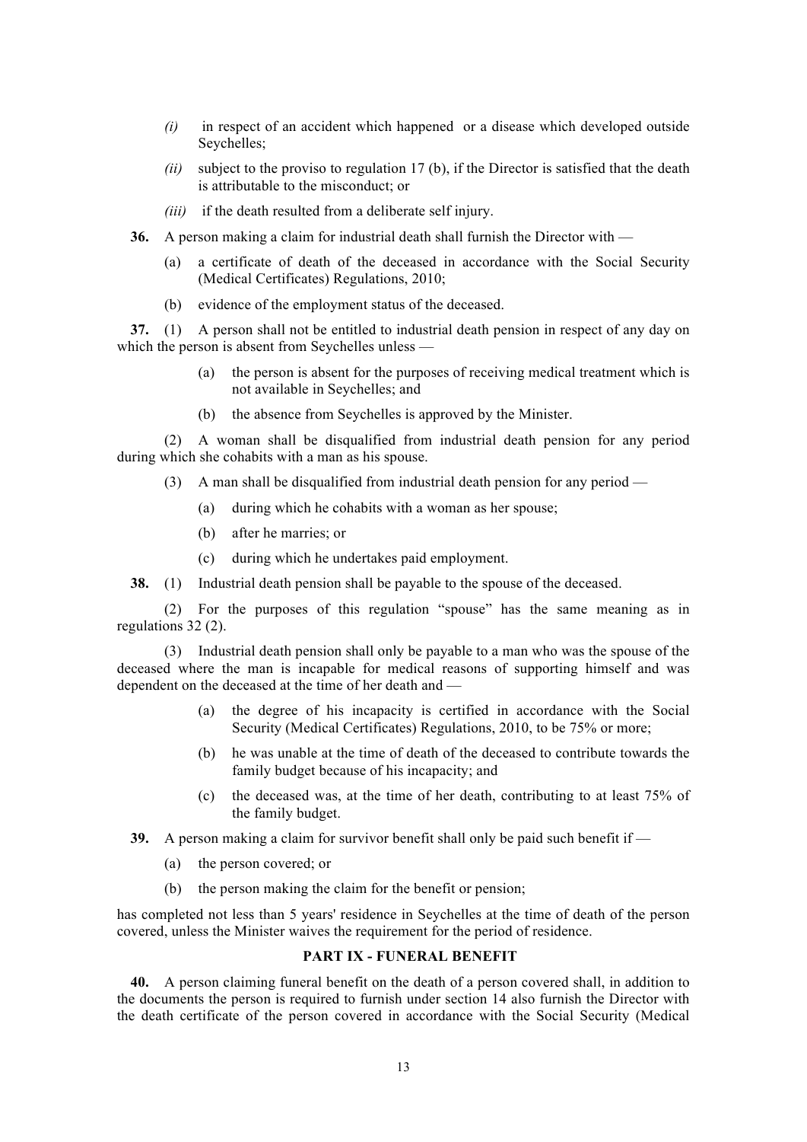- *(i)* in respect of an accident which happened or a disease which developed outside Seychelles;
- *(ii)* subject to the proviso to regulation 17 (b), if the Director is satisfied that the death is attributable to the misconduct; or
- *(iii)* if the death resulted from a deliberate self injury.
- **36.** A person making a claim for industrial death shall furnish the Director with
	- (a) a certificate of death of the deceased in accordance with the Social Security (Medical Certificates) Regulations, 2010;
	- (b) evidence of the employment status of the deceased.

**37.** (1) A person shall not be entitled to industrial death pension in respect of any day on which the person is absent from Seychelles unless —

- (a) the person is absent for the purposes of receiving medical treatment which is not available in Seychelles; and
- (b) the absence from Seychelles is approved by the Minister.

(2) A woman shall be disqualified from industrial death pension for any period during which she cohabits with a man as his spouse.

- (3) A man shall be disqualified from industrial death pension for any period
	- (a) during which he cohabits with a woman as her spouse;
	- (b) after he marries; or
	- (c) during which he undertakes paid employment.

**38.** (1) Industrial death pension shall be payable to the spouse of the deceased.

(2) For the purposes of this regulation "spouse" has the same meaning as in regulations 32 (2).

(3) Industrial death pension shall only be payable to a man who was the spouse of the deceased where the man is incapable for medical reasons of supporting himself and was dependent on the deceased at the time of her death and —

- (a) the degree of his incapacity is certified in accordance with the Social Security (Medical Certificates) Regulations, 2010, to be 75% or more;
- (b) he was unable at the time of death of the deceased to contribute towards the family budget because of his incapacity; and
- (c) the deceased was, at the time of her death, contributing to at least 75% of the family budget.
- **39.** A person making a claim for survivor benefit shall only be paid such benefit if
	- (a) the person covered; or
	- (b) the person making the claim for the benefit or pension;

has completed not less than 5 years' residence in Seychelles at the time of death of the person covered, unless the Minister waives the requirement for the period of residence.

# **PART IX - FUNERAL BENEFIT**

**40.** A person claiming funeral benefit on the death of a person covered shall, in addition to the documents the person is required to furnish under section 14 also furnish the Director with the death certificate of the person covered in accordance with the Social Security (Medical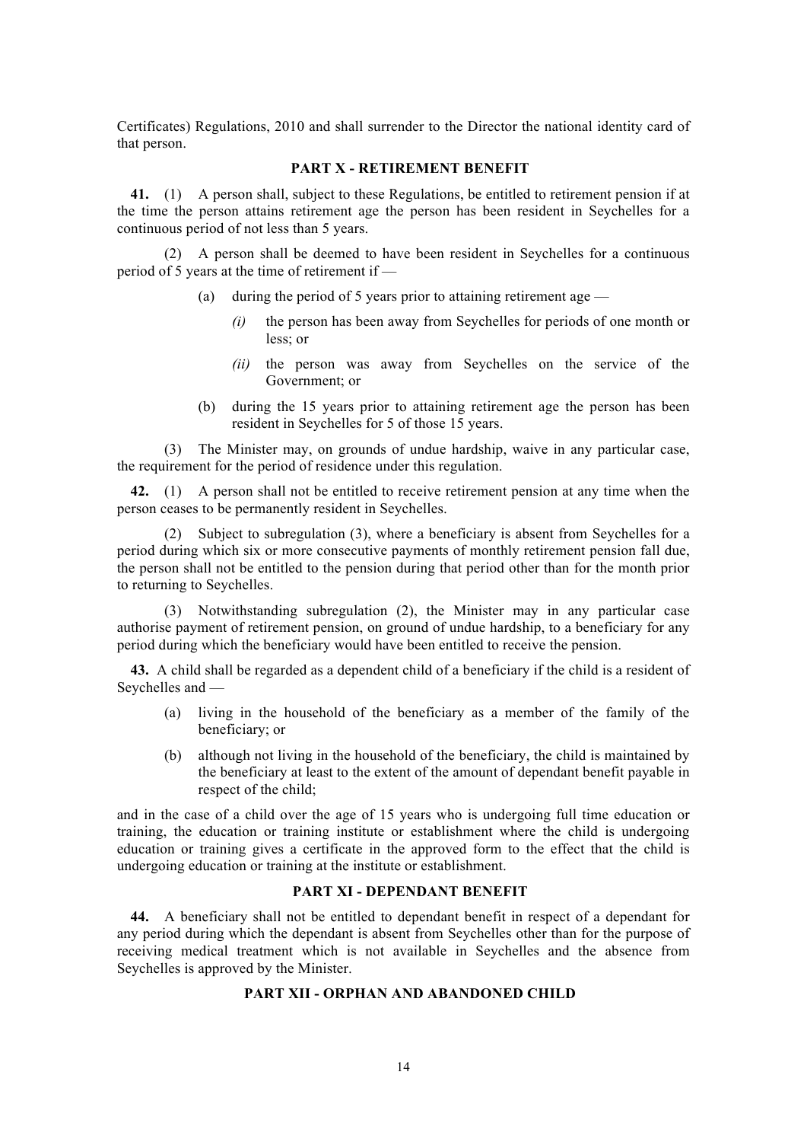Certificates) Regulations, 2010 and shall surrender to the Director the national identity card of that person.

# **PART X - RETIREMENT BENEFIT**

**41.** (1) A person shall, subject to these Regulations, be entitled to retirement pension if at the time the person attains retirement age the person has been resident in Seychelles for a continuous period of not less than 5 years.

(2) A person shall be deemed to have been resident in Seychelles for a continuous period of 5 years at the time of retirement if —

- (a) during the period of 5 years prior to attaining retirement age  $-$ 
	- *(i)* the person has been away from Seychelles for periods of one month or less; or
	- *(ii)* the person was away from Seychelles on the service of the Government; or
- (b) during the 15 years prior to attaining retirement age the person has been resident in Seychelles for 5 of those 15 years.

(3) The Minister may, on grounds of undue hardship, waive in any particular case, the requirement for the period of residence under this regulation.

**42.** (1) A person shall not be entitled to receive retirement pension at any time when the person ceases to be permanently resident in Seychelles.

(2) Subject to subregulation (3), where a beneficiary is absent from Seychelles for a period during which six or more consecutive payments of monthly retirement pension fall due, the person shall not be entitled to the pension during that period other than for the month prior to returning to Seychelles.

(3) Notwithstanding subregulation (2), the Minister may in any particular case authorise payment of retirement pension, on ground of undue hardship, to a beneficiary for any period during which the beneficiary would have been entitled to receive the pension.

**43.** A child shall be regarded as a dependent child of a beneficiary if the child is a resident of Seychelles and —

- (a) living in the household of the beneficiary as a member of the family of the beneficiary; or
- (b) although not living in the household of the beneficiary, the child is maintained by the beneficiary at least to the extent of the amount of dependant benefit payable in respect of the child;

and in the case of a child over the age of 15 years who is undergoing full time education or training, the education or training institute or establishment where the child is undergoing education or training gives a certificate in the approved form to the effect that the child is undergoing education or training at the institute or establishment.

### **PART XI - DEPENDANT BENEFIT**

**44.** A beneficiary shall not be entitled to dependant benefit in respect of a dependant for any period during which the dependant is absent from Seychelles other than for the purpose of receiving medical treatment which is not available in Seychelles and the absence from Seychelles is approved by the Minister.

#### **PART XII - ORPHAN AND ABANDONED CHILD**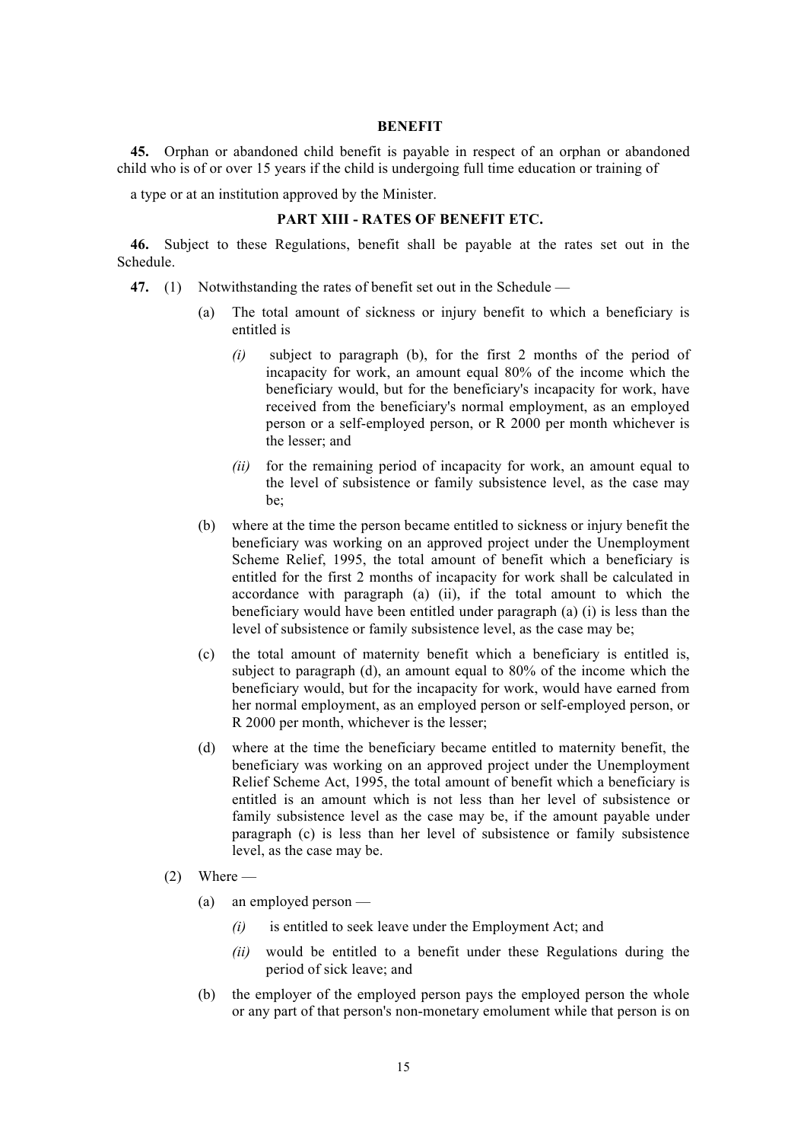#### **BENEFIT**

**45.** Orphan or abandoned child benefit is payable in respect of an orphan or abandoned child who is of or over 15 years if the child is undergoing full time education or training of

a type or at an institution approved by the Minister.

# **PART XIII - RATES OF BENEFIT ETC.**

**46.** Subject to these Regulations, benefit shall be payable at the rates set out in the Schedule.

- **47.** (1) Notwithstanding the rates of benefit set out in the Schedule
	- (a) The total amount of sickness or injury benefit to which a beneficiary is entitled is
		- *(i)* subject to paragraph (b), for the first 2 months of the period of incapacity for work, an amount equal 80% of the income which the beneficiary would, but for the beneficiary's incapacity for work, have received from the beneficiary's normal employment, as an employed person or a self-employed person, or R 2000 per month whichever is the lesser; and
		- *(ii)* for the remaining period of incapacity for work, an amount equal to the level of subsistence or family subsistence level, as the case may be;
	- (b) where at the time the person became entitled to sickness or injury benefit the beneficiary was working on an approved project under the Unemployment Scheme Relief, 1995, the total amount of benefit which a beneficiary is entitled for the first 2 months of incapacity for work shall be calculated in accordance with paragraph (a) (ii), if the total amount to which the beneficiary would have been entitled under paragraph (a) (i) is less than the level of subsistence or family subsistence level, as the case may be;
	- (c) the total amount of maternity benefit which a beneficiary is entitled is, subject to paragraph (d), an amount equal to 80% of the income which the beneficiary would, but for the incapacity for work, would have earned from her normal employment, as an employed person or self-employed person, or R 2000 per month, whichever is the lesser;
	- (d) where at the time the beneficiary became entitled to maternity benefit, the beneficiary was working on an approved project under the Unemployment Relief Scheme Act, 1995, the total amount of benefit which a beneficiary is entitled is an amount which is not less than her level of subsistence or family subsistence level as the case may be, if the amount payable under paragraph (c) is less than her level of subsistence or family subsistence level, as the case may be.
	- $(2)$  Where
		- (a) an employed person
			- *(i)* is entitled to seek leave under the Employment Act; and
			- *(ii)* would be entitled to a benefit under these Regulations during the period of sick leave; and
		- (b) the employer of the employed person pays the employed person the whole or any part of that person's non-monetary emolument while that person is on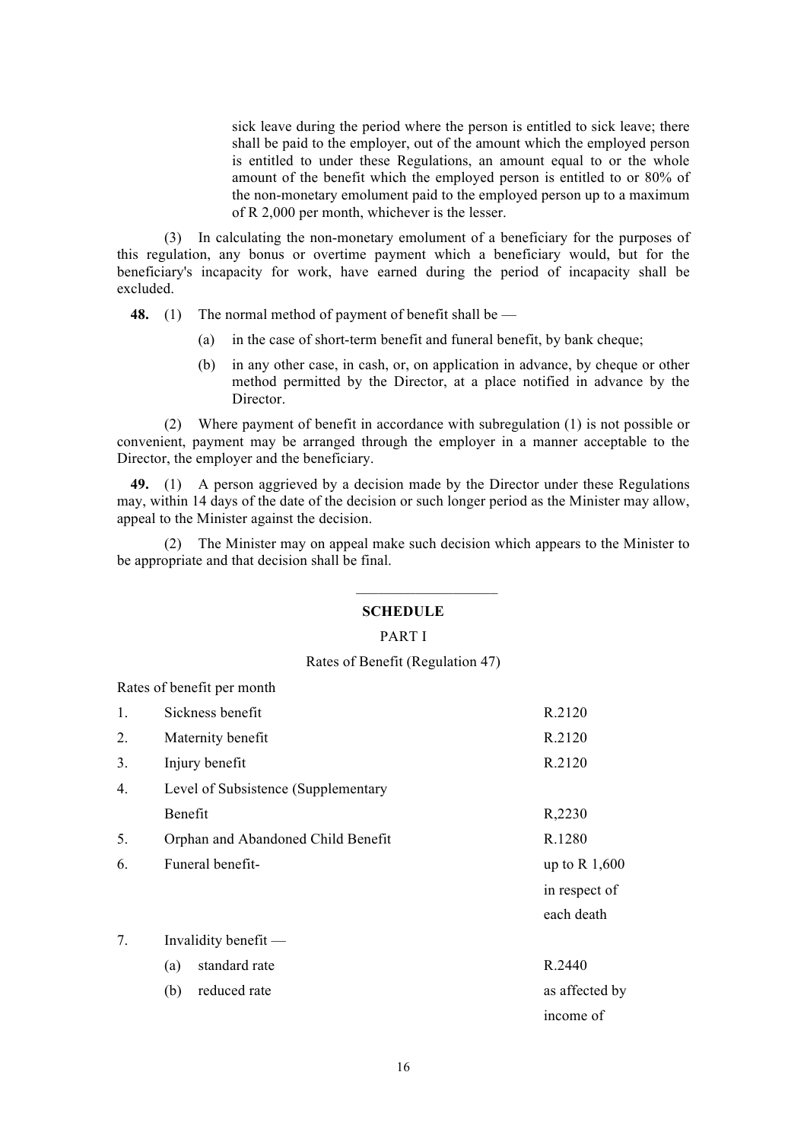sick leave during the period where the person is entitled to sick leave; there shall be paid to the employer, out of the amount which the employed person is entitled to under these Regulations, an amount equal to or the whole amount of the benefit which the employed person is entitled to or 80% of the non-monetary emolument paid to the employed person up to a maximum of R 2,000 per month, whichever is the lesser.

(3) In calculating the non-monetary emolument of a beneficiary for the purposes of this regulation, any bonus or overtime payment which a beneficiary would, but for the beneficiary's incapacity for work, have earned during the period of incapacity shall be excluded.

**48.** (1) The normal method of payment of benefit shall be —

- (a) in the case of short-term benefit and funeral benefit, by bank cheque;
- (b) in any other case, in cash, or, on application in advance, by cheque or other method permitted by the Director, at a place notified in advance by the Director<sup>1</sup>

(2) Where payment of benefit in accordance with subregulation (1) is not possible or convenient, payment may be arranged through the employer in a manner acceptable to the Director, the employer and the beneficiary.

**49.** (1) A person aggrieved by a decision made by the Director under these Regulations may, within 14 days of the date of the decision or such longer period as the Minister may allow, appeal to the Minister against the decision.

(2) The Minister may on appeal make such decision which appears to the Minister to be appropriate and that decision shall be final.

#### **SCHEDULE**

 $\frac{1}{2}$  , where  $\frac{1}{2}$  , where  $\frac{1}{2}$ 

#### PART I

#### Rates of Benefit (Regulation 47)

Rates of benefit per month

| 1. | Sickness benefit                    | R.2120          |
|----|-------------------------------------|-----------------|
| 2. | Maternity benefit                   | R.2120          |
| 3. | Injury benefit                      | R.2120          |
| 4. | Level of Subsistence (Supplementary |                 |
|    | Benefit                             | R,2230          |
| 5. | Orphan and Abandoned Child Benefit  | R.1280          |
| 6. | Funeral benefit-                    | up to R $1,600$ |
|    |                                     | in respect of   |
|    |                                     | each death      |
| 7. | Invalidity benefit $-$              |                 |
|    | standard rate<br>(a)                | R.2440          |
|    | reduced rate<br>(b)                 | as affected by  |
|    |                                     | income of       |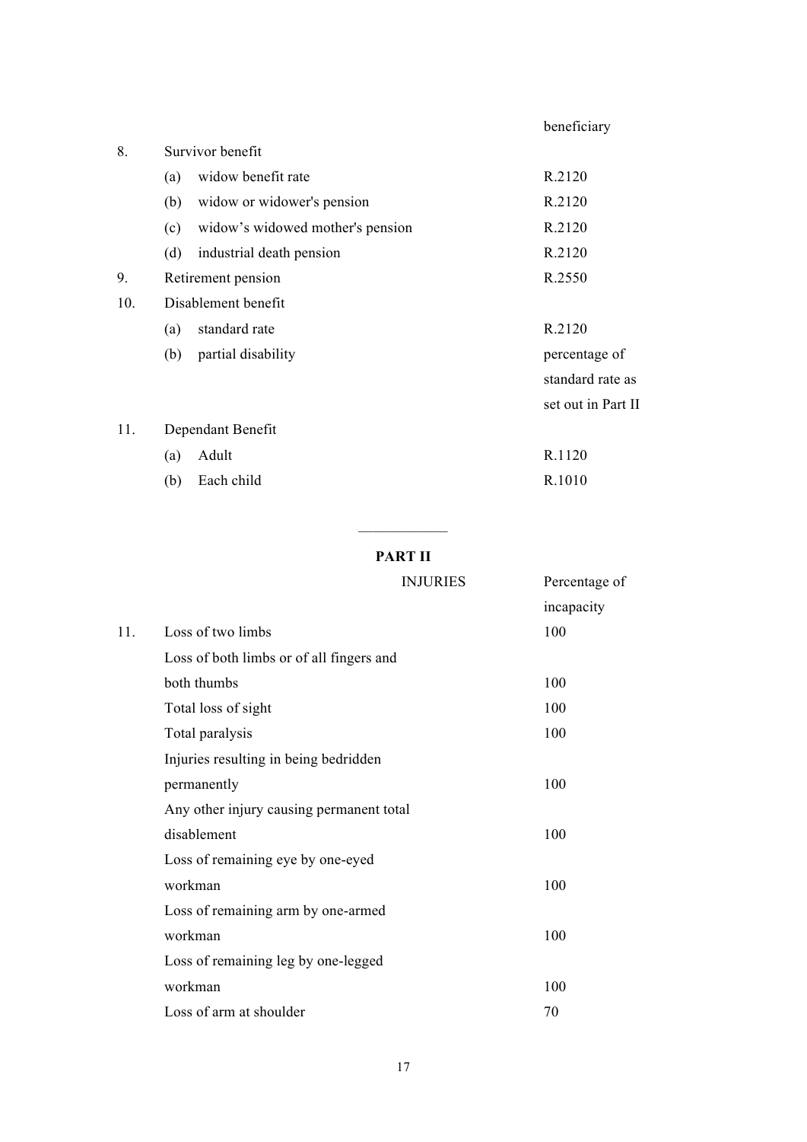|     |                                         | beneficiary        |
|-----|-----------------------------------------|--------------------|
| 8.  | Survivor benefit                        |                    |
|     | widow benefit rate<br>(a)               | R.2120             |
|     | widow or widower's pension<br>(b)       | R.2120             |
|     | widow's widowed mother's pension<br>(c) | R.2120             |
|     | (d)<br>industrial death pension         | R.2120             |
| 9.  | Retirement pension                      | R.2550             |
| 10. | Disablement benefit                     |                    |
|     | standard rate<br>(a)                    | R.2120             |
|     | partial disability<br>(b)               | percentage of      |
|     |                                         | standard rate as   |
|     |                                         | set out in Part II |
| 11. | Dependant Benefit                       |                    |
|     | Adult<br>(a)                            | R.1120             |
|     | Each child<br>(b)                       | R.1010             |

# —————— **PART II**

|     | <b>INJURIES</b>                          | Percentage of |
|-----|------------------------------------------|---------------|
|     |                                          | incapacity    |
| 11. | Loss of two limbs                        | 100           |
|     | Loss of both limbs or of all fingers and |               |
|     | both thumbs                              | 100           |
|     | Total loss of sight                      | 100           |
|     | Total paralysis                          | 100           |
|     | Injuries resulting in being bedridden    |               |
|     | permanently                              | 100           |
|     | Any other injury causing permanent total |               |
|     | disablement                              | 100           |
|     | Loss of remaining eye by one-eyed        |               |
|     | workman                                  | 100           |
|     | Loss of remaining arm by one-armed       |               |
|     | workman                                  | 100           |
|     | Loss of remaining leg by one-legged      |               |
|     | workman                                  | 100           |
|     | Loss of arm at shoulder                  | 70            |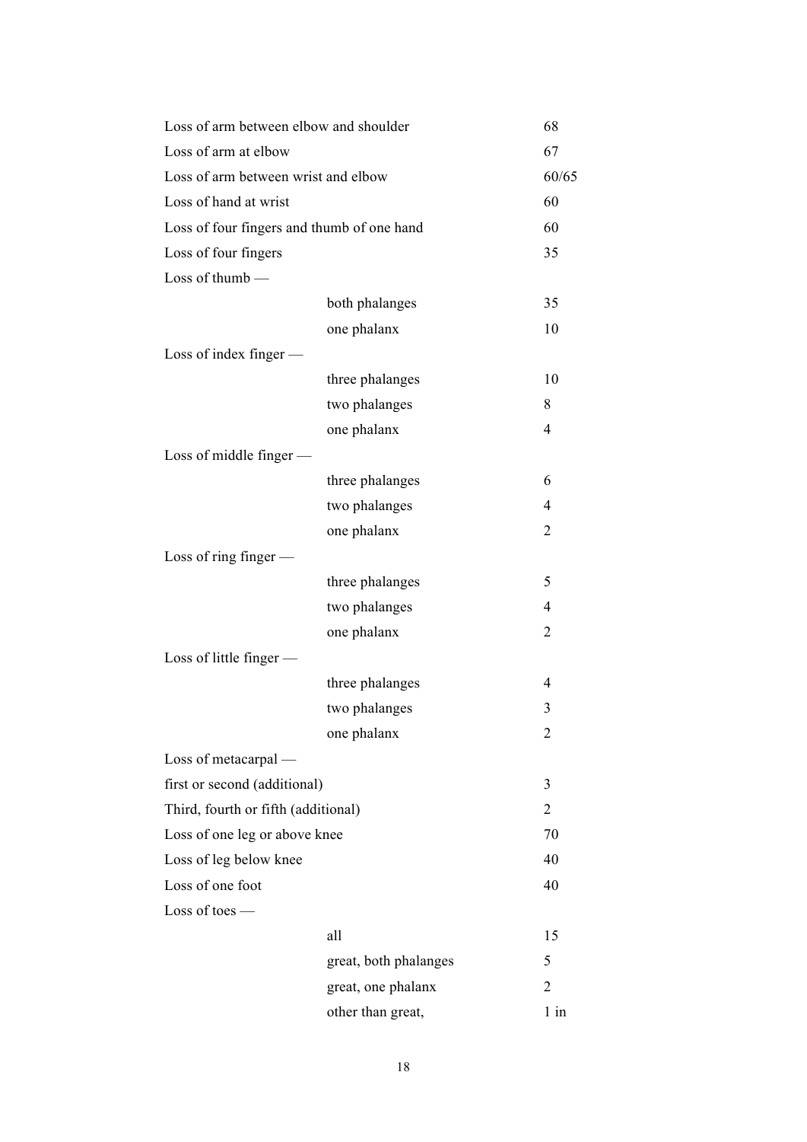| Loss of arm between elbow and shoulder     |                       | 68             |
|--------------------------------------------|-----------------------|----------------|
| Loss of arm at elbow                       |                       | 67             |
| Loss of arm between wrist and elbow        |                       | 60/65          |
| Loss of hand at wrist                      |                       | 60             |
| Loss of four fingers and thumb of one hand |                       | 60             |
| Loss of four fingers                       |                       | 35             |
| Loss of thumb $-$                          |                       |                |
|                                            | both phalanges        | 35             |
|                                            | one phalanx           | 10             |
| Loss of index finger $-$                   |                       |                |
|                                            | three phalanges       | 10             |
|                                            | two phalanges         | 8              |
|                                            | one phalanx           | 4              |
| Loss of middle finger $-$                  |                       |                |
|                                            | three phalanges       | 6              |
|                                            | two phalanges         | 4              |
|                                            | one phalanx           | 2              |
| Loss of ring finger $-$                    |                       |                |
|                                            | three phalanges       | 5              |
|                                            | two phalanges         | 4              |
|                                            | one phalanx           | 2              |
| Loss of little finger $-$                  |                       |                |
|                                            | three phalanges       | 4              |
|                                            | two phalanges         | 3              |
|                                            | one phalanx           | 2              |
| Loss of metacarpal —                       |                       |                |
| first or second (additional)               |                       | 3              |
| Third, fourth or fifth (additional)        |                       | 2              |
| Loss of one leg or above knee              |                       | 70             |
| Loss of leg below knee                     |                       | 40             |
| Loss of one foot                           |                       | 40             |
| $Loss of toes$ —                           |                       |                |
|                                            | all                   | 15             |
|                                            | great, both phalanges | 5              |
|                                            | great, one phalanx    | $\overline{2}$ |
|                                            | other than great,     | $1$ in         |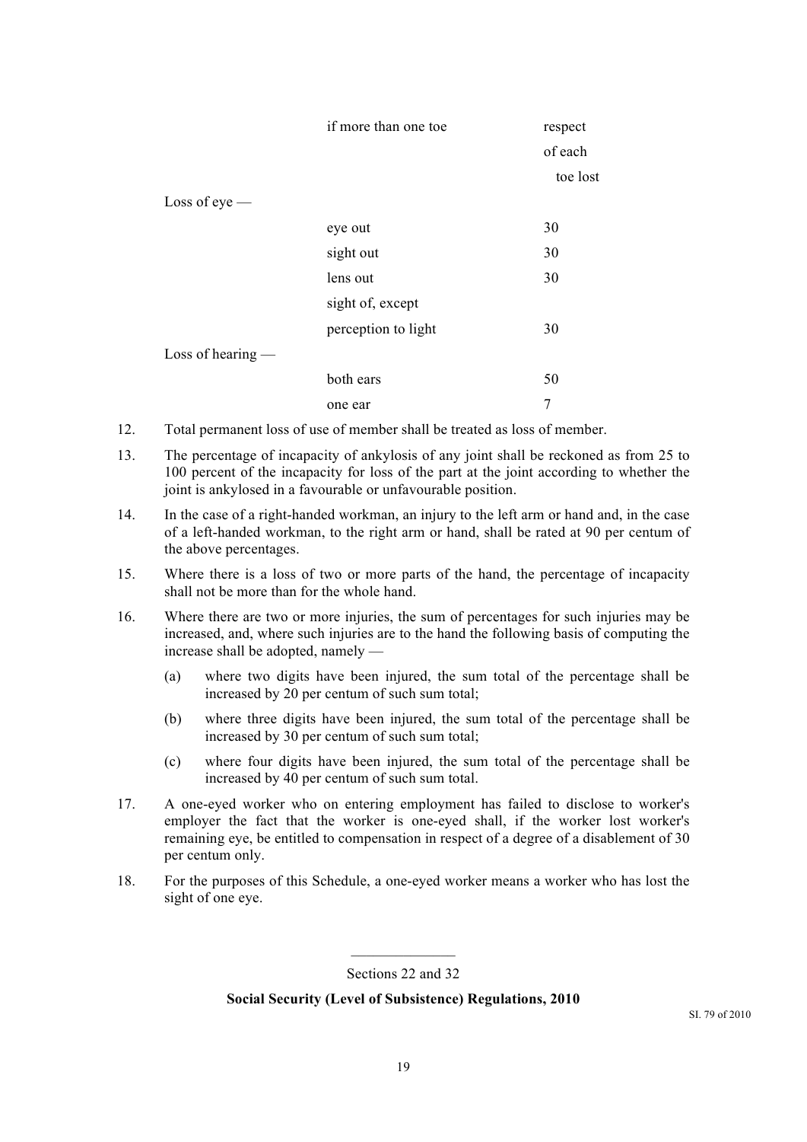|                     | if more than one toe | respect  |
|---------------------|----------------------|----------|
|                     |                      | of each  |
|                     |                      | toe lost |
| Loss of $eye$ —     |                      |          |
|                     | eye out              | 30       |
|                     | sight out            | 30       |
|                     | lens out             | 30       |
|                     | sight of, except     |          |
|                     | perception to light  | 30       |
| Loss of hearing $-$ |                      |          |
|                     | both ears            | 50       |
|                     | one ear              | 7        |

- 12. Total permanent loss of use of member shall be treated as loss of member.
- 13. The percentage of incapacity of ankylosis of any joint shall be reckoned as from 25 to 100 percent of the incapacity for loss of the part at the joint according to whether the joint is ankylosed in a favourable or unfavourable position.
- 14. In the case of a right-handed workman, an injury to the left arm or hand and, in the case of a left-handed workman, to the right arm or hand, shall be rated at 90 per centum of the above percentages.
- 15. Where there is a loss of two or more parts of the hand, the percentage of incapacity shall not be more than for the whole hand.
- 16. Where there are two or more injuries, the sum of percentages for such injuries may be increased, and, where such injuries are to the hand the following basis of computing the increase shall be adopted, namely —
	- (a) where two digits have been injured, the sum total of the percentage shall be increased by 20 per centum of such sum total;
	- (b) where three digits have been injured, the sum total of the percentage shall be increased by 30 per centum of such sum total;
	- (c) where four digits have been injured, the sum total of the percentage shall be increased by 40 per centum of such sum total.
- 17. A one-eyed worker who on entering employment has failed to disclose to worker's employer the fact that the worker is one-eyed shall, if the worker lost worker's remaining eye, be entitled to compensation in respect of a degree of a disablement of 30 per centum only.
- 18. For the purposes of this Schedule, a one-eyed worker means a worker who has lost the sight of one eye.

 $\frac{1}{2}$ Sections 22 and 32

#### **Social Security (Level of Subsistence) Regulations, 2010**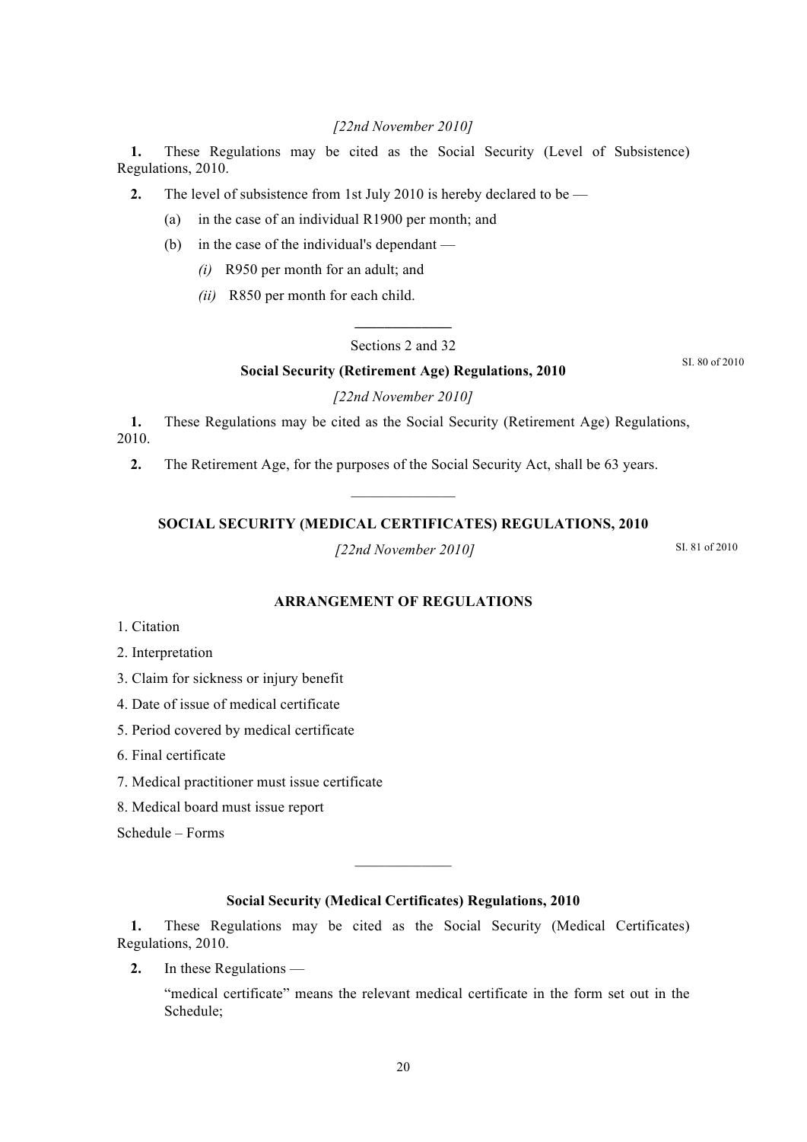# *[22nd November 2010]*

**1.** These Regulations may be cited as the Social Security (Level of Subsistence) Regulations, 2010.

**2.** The level of subsistence from 1st July 2010 is hereby declared to be —

(a) in the case of an individual R1900 per month; and

- (b) in the case of the individual's dependant
	- *(i)* R950 per month for an adult; and
	- *(ii)* R850 per month for each child.

# **\_\_\_\_\_\_\_\_\_\_\_\_\_** Sections 2 and 32

#### **Social Security (Retirement Age) Regulations, 2010**

SI. 80 of 2010

#### *[22nd November 2010]*

**1.** These Regulations may be cited as the Social Security (Retirement Age) Regulations, 2010.

**2.** The Retirement Age, for the purposes of the Social Security Act, shall be 63 years.

# **SOCIAL SECURITY (MEDICAL CERTIFICATES) REGULATIONS, 2010**

 $\frac{1}{2}$ 

*[22nd November 2010]*

SI. 81 of 2010

# **ARRANGEMENT OF REGULATIONS**

1. Citation

2. Interpretation

3. Claim for sickness or injury benefit

4. Date of issue of medical certificate

5. Period covered by medical certificate

6. Final certificate

7. Medical practitioner must issue certificate

8. Medical board must issue report

Schedule – Forms

#### **Social Security (Medical Certificates) Regulations, 2010**

 $\frac{1}{2}$ 

**1.** These Regulations may be cited as the Social Security (Medical Certificates) Regulations, 2010.

**2.** In these Regulations —

"medical certificate" means the relevant medical certificate in the form set out in the Schedule;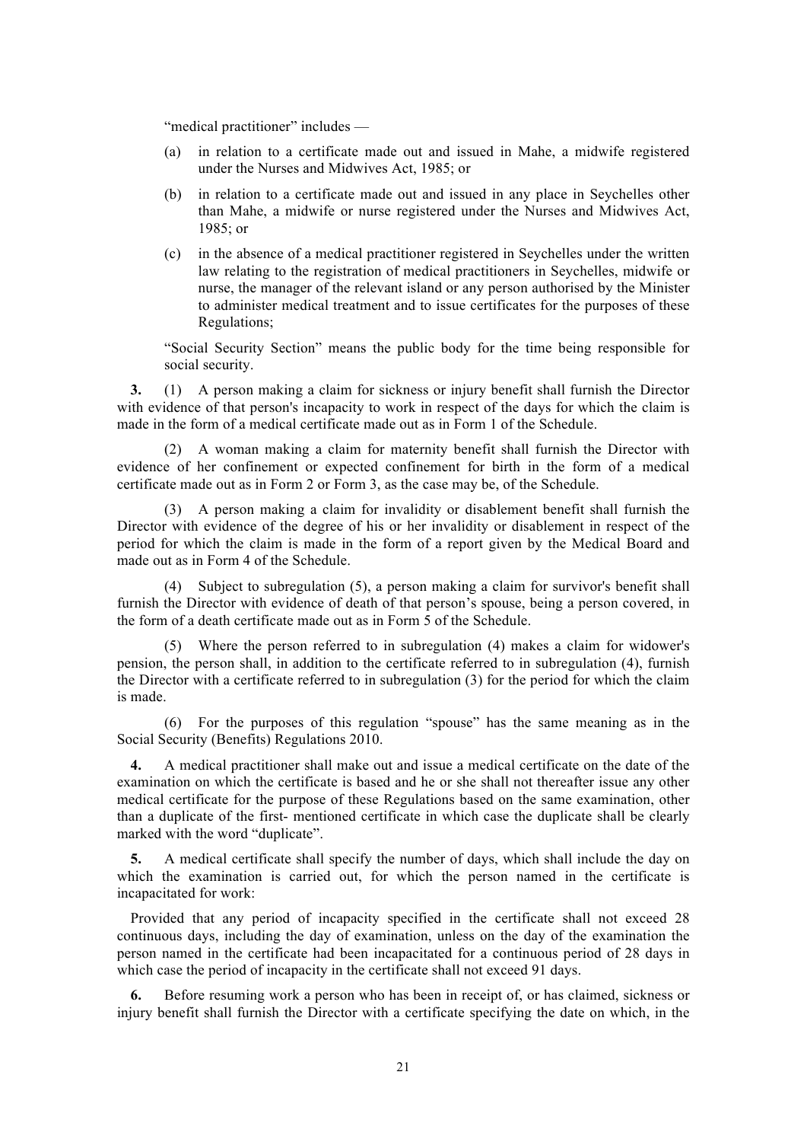"medical practitioner" includes —

- (a) in relation to a certificate made out and issued in Mahe, a midwife registered under the Nurses and Midwives Act, 1985; or
- (b) in relation to a certificate made out and issued in any place in Seychelles other than Mahe, a midwife or nurse registered under the Nurses and Midwives Act, 1985; or
- (c) in the absence of a medical practitioner registered in Seychelles under the written law relating to the registration of medical practitioners in Seychelles, midwife or nurse, the manager of the relevant island or any person authorised by the Minister to administer medical treatment and to issue certificates for the purposes of these Regulations;

"Social Security Section" means the public body for the time being responsible for social security.

**3.** (1) A person making a claim for sickness or injury benefit shall furnish the Director with evidence of that person's incapacity to work in respect of the days for which the claim is made in the form of a medical certificate made out as in Form 1 of the Schedule.

(2) A woman making a claim for maternity benefit shall furnish the Director with evidence of her confinement or expected confinement for birth in the form of a medical certificate made out as in Form 2 or Form 3, as the case may be, of the Schedule.

(3) A person making a claim for invalidity or disablement benefit shall furnish the Director with evidence of the degree of his or her invalidity or disablement in respect of the period for which the claim is made in the form of a report given by the Medical Board and made out as in Form 4 of the Schedule.

(4) Subject to subregulation (5), a person making a claim for survivor's benefit shall furnish the Director with evidence of death of that person's spouse, being a person covered, in the form of a death certificate made out as in Form 5 of the Schedule.

(5) Where the person referred to in subregulation (4) makes a claim for widower's pension, the person shall, in addition to the certificate referred to in subregulation (4), furnish the Director with a certificate referred to in subregulation (3) for the period for which the claim is made.

(6) For the purposes of this regulation "spouse" has the same meaning as in the Social Security (Benefits) Regulations 2010.

**4.** A medical practitioner shall make out and issue a medical certificate on the date of the examination on which the certificate is based and he or she shall not thereafter issue any other medical certificate for the purpose of these Regulations based on the same examination, other than a duplicate of the first- mentioned certificate in which case the duplicate shall be clearly marked with the word "duplicate".

**5.** A medical certificate shall specify the number of days, which shall include the day on which the examination is carried out, for which the person named in the certificate is incapacitated for work:

Provided that any period of incapacity specified in the certificate shall not exceed 28 continuous days, including the day of examination, unless on the day of the examination the person named in the certificate had been incapacitated for a continuous period of 28 days in which case the period of incapacity in the certificate shall not exceed 91 days.

**6.** Before resuming work a person who has been in receipt of, or has claimed, sickness or injury benefit shall furnish the Director with a certificate specifying the date on which, in the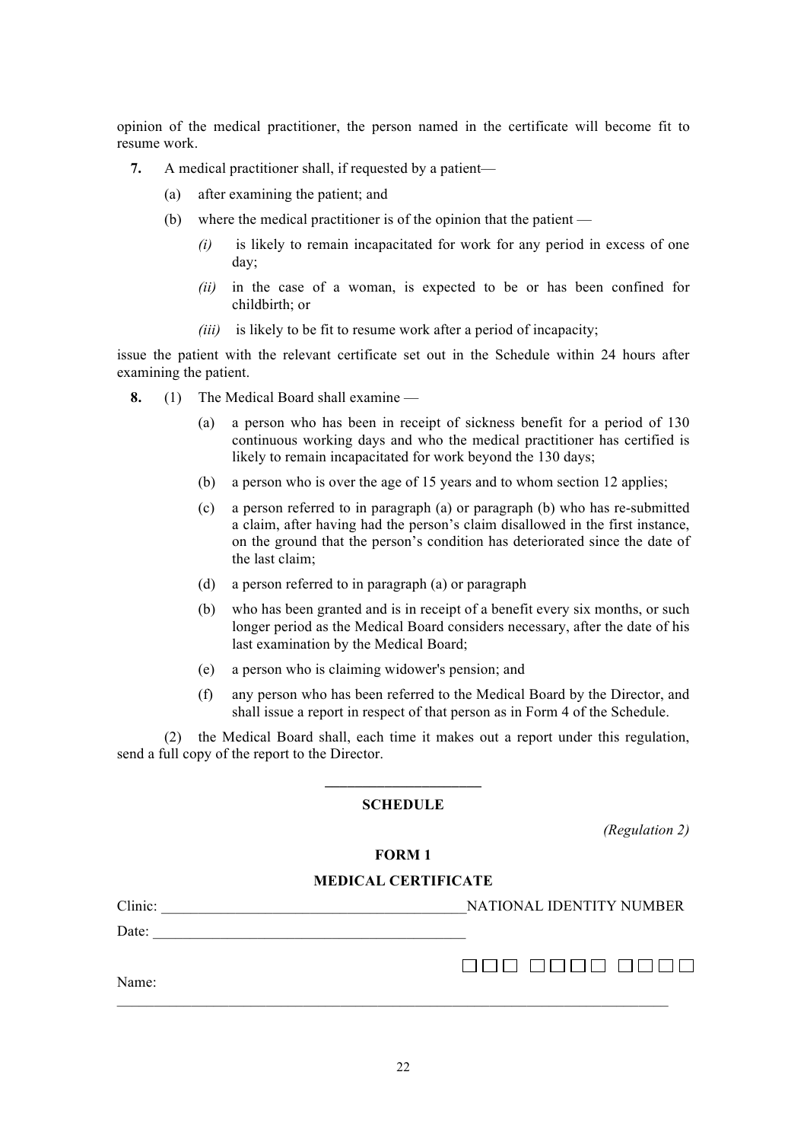opinion of the medical practitioner, the person named in the certificate will become fit to resume work.

- **7.** A medical practitioner shall, if requested by a patient—
	- (a) after examining the patient; and
	- (b) where the medical practitioner is of the opinion that the patient
		- *(i)* is likely to remain incapacitated for work for any period in excess of one day;
		- *(ii)* in the case of a woman, is expected to be or has been confined for childbirth; or
		- *(iii)* is likely to be fit to resume work after a period of incapacity;

issue the patient with the relevant certificate set out in the Schedule within 24 hours after examining the patient.

- **8.** (1) The Medical Board shall examine
	- (a) a person who has been in receipt of sickness benefit for a period of 130 continuous working days and who the medical practitioner has certified is likely to remain incapacitated for work beyond the 130 days;
	- (b) a person who is over the age of 15 years and to whom section 12 applies;
	- (c) a person referred to in paragraph (a) or paragraph (b) who has re-submitted a claim, after having had the person's claim disallowed in the first instance, on the ground that the person's condition has deteriorated since the date of the last claim;
	- (d) a person referred to in paragraph (a) or paragraph
	- (b) who has been granted and is in receipt of a benefit every six months, or such longer period as the Medical Board considers necessary, after the date of his last examination by the Medical Board;
	- (e) a person who is claiming widower's pension; and
	- (f) any person who has been referred to the Medical Board by the Director, and shall issue a report in respect of that person as in Form 4 of the Schedule.

(2) the Medical Board shall, each time it makes out a report under this regulation, send a full copy of the report to the Director.

# **\_\_\_\_\_\_\_\_\_\_\_\_\_\_\_\_\_\_\_\_\_ SCHEDULE**

*(Regulation 2)*

# **FORM 1**

#### **MEDICAL CERTIFICATE**

| Clinic: | NATIONAL IDENTITY NUMBER |
|---------|--------------------------|
| Date:   |                          |
| Name:   |                          |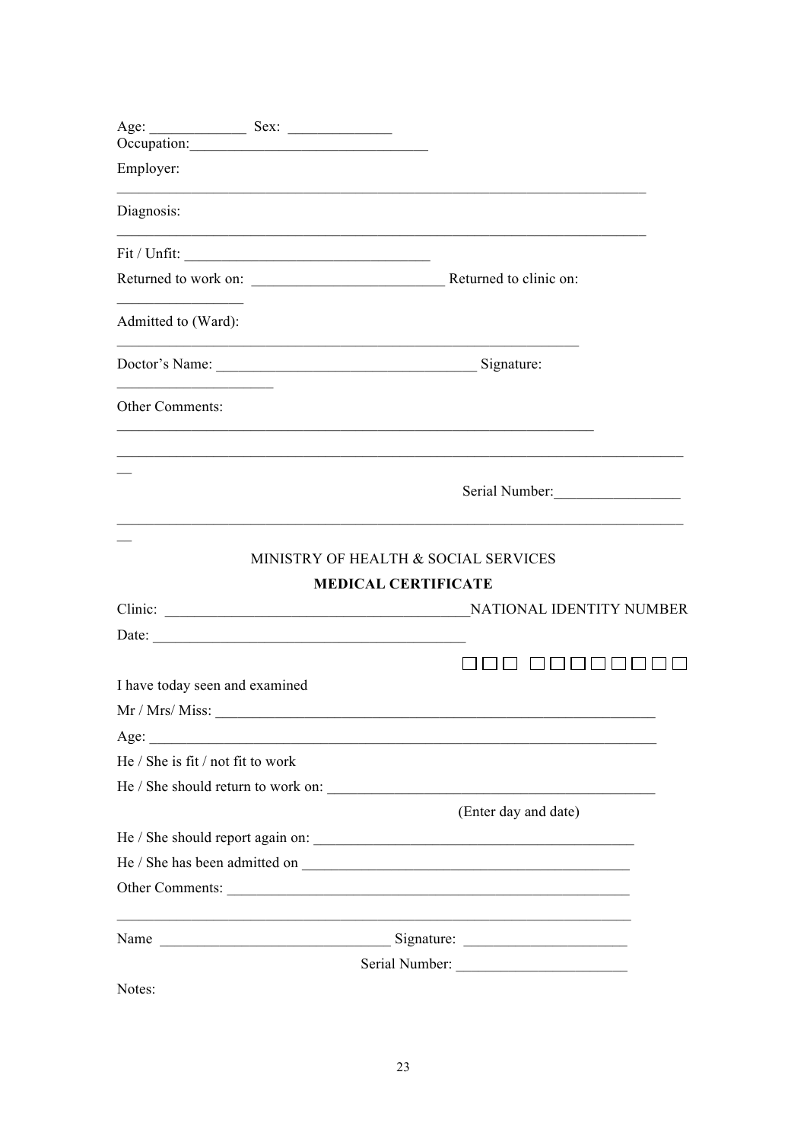|                                   | Occupation:                                                                                                                                                                                                                                                                                                                                                                                                   |                                                                                  |
|-----------------------------------|---------------------------------------------------------------------------------------------------------------------------------------------------------------------------------------------------------------------------------------------------------------------------------------------------------------------------------------------------------------------------------------------------------------|----------------------------------------------------------------------------------|
| Employer:                         |                                                                                                                                                                                                                                                                                                                                                                                                               | ,我们也不会有一个人的人,我们也不会有一个人的人,我们也不会有一个人的人。""我们,我们也不会有一个人的人,我们也不会有一个人的人,我们也不会有一个人的人,我们 |
| Diagnosis:                        |                                                                                                                                                                                                                                                                                                                                                                                                               |                                                                                  |
|                                   | $\text{Fit} \; / \; \text{Unfit:} \; \underline{\hspace{2cm}}$                                                                                                                                                                                                                                                                                                                                                | ,我们也不会有什么。""我们的人,我们也不会有什么?""我们的人,我们也不会有什么?""我们的人,我们也不会有什么?""我们的人,我们也不会有什么?""我们的人 |
|                                   |                                                                                                                                                                                                                                                                                                                                                                                                               |                                                                                  |
| Admitted to (Ward):               |                                                                                                                                                                                                                                                                                                                                                                                                               |                                                                                  |
|                                   |                                                                                                                                                                                                                                                                                                                                                                                                               |                                                                                  |
| Other Comments:                   | ,我们也不会有什么。""我们的人,我们也不会有什么?""我们的人,我们也不会有什么?""我们的人,我们的人,我们的人,我们的人,我们的人,我们的人,我们的人,我                                                                                                                                                                                                                                                                                                                              |                                                                                  |
|                                   |                                                                                                                                                                                                                                                                                                                                                                                                               |                                                                                  |
|                                   |                                                                                                                                                                                                                                                                                                                                                                                                               | Serial Number:                                                                   |
|                                   | <b>MEDICAL CERTIFICATE</b>                                                                                                                                                                                                                                                                                                                                                                                    | NATIONAL IDENTITY NUMBER                                                         |
|                                   | Date: $\frac{1}{\sqrt{1-\frac{1}{2}}\sqrt{1-\frac{1}{2}}\sqrt{1-\frac{1}{2}}\sqrt{1-\frac{1}{2}}\sqrt{1-\frac{1}{2}}\sqrt{1-\frac{1}{2}}\sqrt{1-\frac{1}{2}}\sqrt{1-\frac{1}{2}}\sqrt{1-\frac{1}{2}}\sqrt{1-\frac{1}{2}}\sqrt{1-\frac{1}{2}}\sqrt{1-\frac{1}{2}}\sqrt{1-\frac{1}{2}}\sqrt{1-\frac{1}{2}}\sqrt{1-\frac{1}{2}}\sqrt{1-\frac{1}{2}}\sqrt{1-\frac{1}{2}}\sqrt{1-\frac{1}{2}}\sqrt{1-\frac{1}{2}}$ |                                                                                  |
|                                   |                                                                                                                                                                                                                                                                                                                                                                                                               | 30 00000000                                                                      |
| I have today seen and examined    |                                                                                                                                                                                                                                                                                                                                                                                                               |                                                                                  |
|                                   |                                                                                                                                                                                                                                                                                                                                                                                                               |                                                                                  |
| Age:                              | <u> 1989 - Johann John Stein, mars an deus Frankrik (f. 1989)</u>                                                                                                                                                                                                                                                                                                                                             |                                                                                  |
| He / She is fit / not fit to work |                                                                                                                                                                                                                                                                                                                                                                                                               |                                                                                  |
|                                   |                                                                                                                                                                                                                                                                                                                                                                                                               | He / She should return to work on:                                               |
|                                   |                                                                                                                                                                                                                                                                                                                                                                                                               | (Enter day and date)                                                             |
|                                   |                                                                                                                                                                                                                                                                                                                                                                                                               |                                                                                  |
|                                   |                                                                                                                                                                                                                                                                                                                                                                                                               |                                                                                  |
|                                   |                                                                                                                                                                                                                                                                                                                                                                                                               | Other Comments:                                                                  |
|                                   |                                                                                                                                                                                                                                                                                                                                                                                                               |                                                                                  |
|                                   |                                                                                                                                                                                                                                                                                                                                                                                                               |                                                                                  |
| Notes:                            |                                                                                                                                                                                                                                                                                                                                                                                                               |                                                                                  |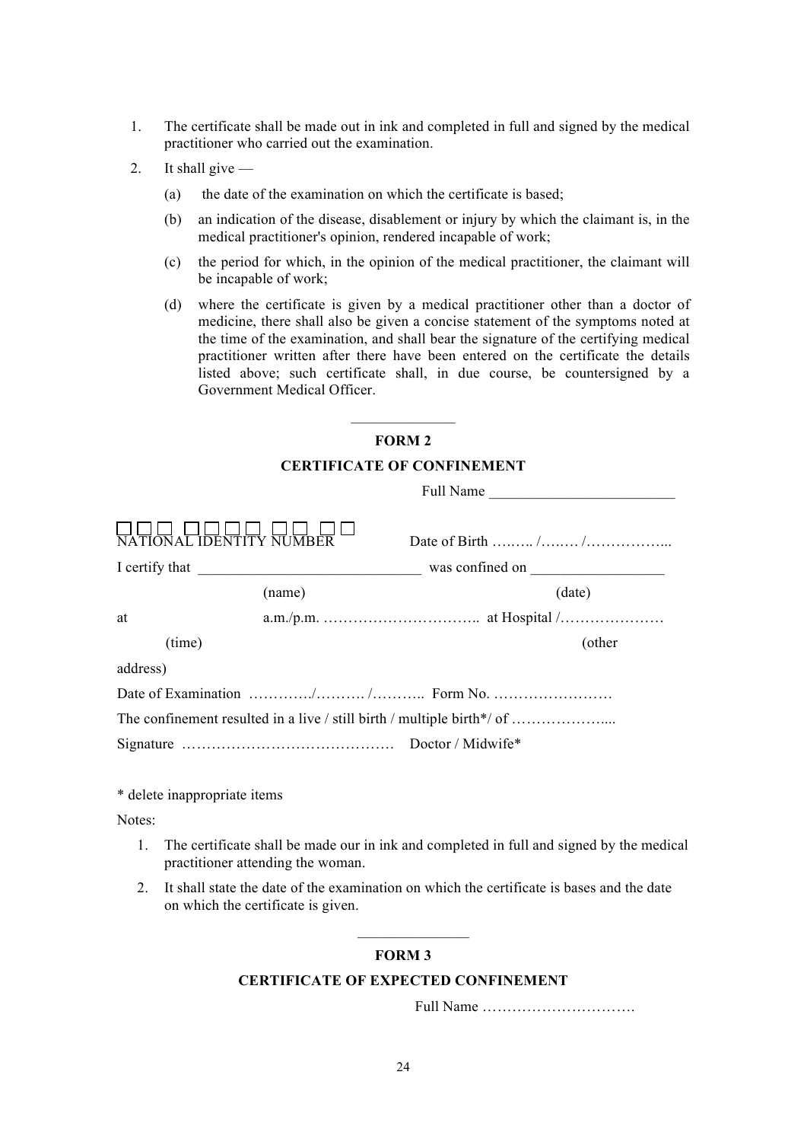- 1. The certificate shall be made out in ink and completed in full and signed by the medical practitioner who carried out the examination.
- 2. It shall give
	- (a) the date of the examination on which the certificate is based;
	- (b) an indication of the disease, disablement or injury by which the claimant is, in the medical practitioner's opinion, rendered incapable of work;
	- (c) the period for which, in the opinion of the medical practitioner, the claimant will be incapable of work;
	- (d) where the certificate is given by a medical practitioner other than a doctor of medicine, there shall also be given a concise statement of the symptoms noted at the time of the examination, and shall bear the signature of the certifying medical practitioner written after there have been entered on the certificate the details listed above; such certificate shall, in due course, be countersigned by a Government Medical Officer.

# $\frac{1}{2}$ **FORM 2**

#### **CERTIFICATE OF CONFINEMENT**

|                              |        | Full Name                                                              |        |
|------------------------------|--------|------------------------------------------------------------------------|--------|
| IONAL IDENTITY NUMBER        |        |                                                                        |        |
|                              |        |                                                                        |        |
|                              | (name) | (date)                                                                 |        |
| at                           |        |                                                                        |        |
| (time)                       |        |                                                                        | (other |
| address)                     |        |                                                                        |        |
|                              |        |                                                                        |        |
|                              |        | The confinement resulted in a live / still birth / multiple birth*/ of |        |
|                              |        |                                                                        |        |
|                              |        |                                                                        |        |
| * delete inappropriate items |        |                                                                        |        |

Notes:

- 1. The certificate shall be made our in ink and completed in full and signed by the medical practitioner attending the woman.
- 2. It shall state the date of the examination on which the certificate is bases and the date on which the certificate is given.

# **FORM 3**

 $\overline{\phantom{a}}$  , where  $\overline{\phantom{a}}$ 

# **CERTIFICATE OF EXPECTED CONFINEMENT**

Full Name ………………………….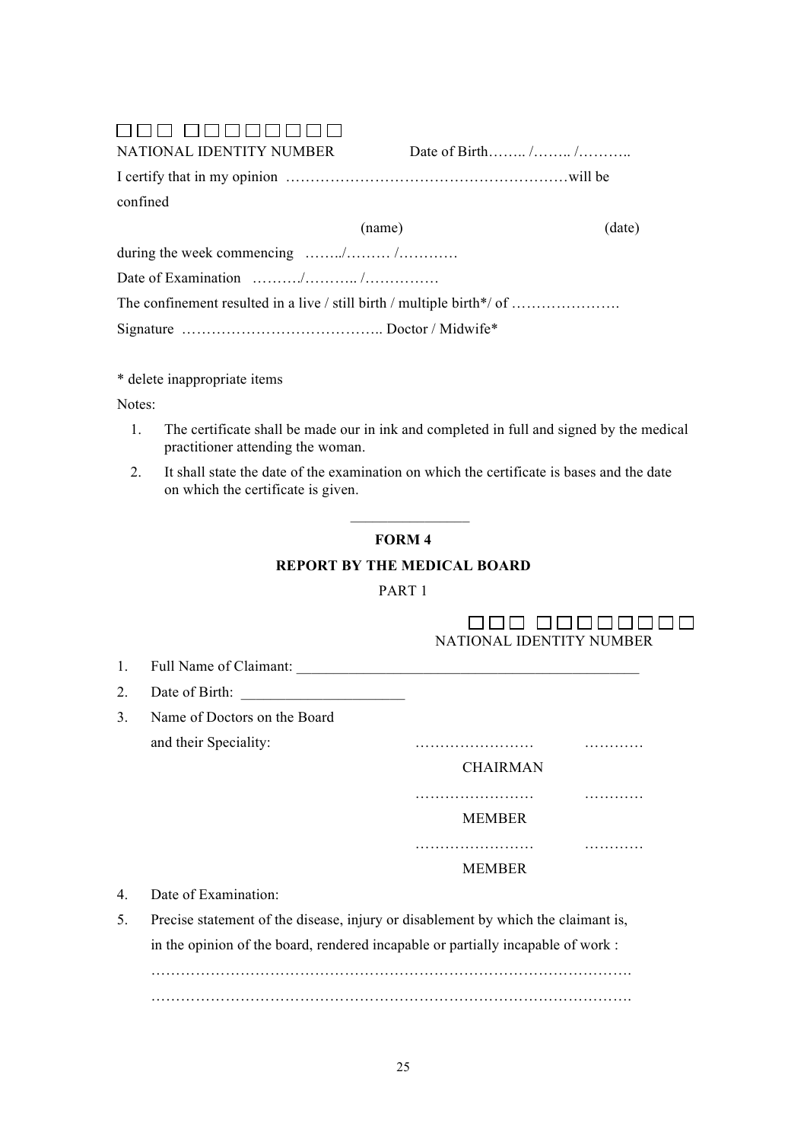# 000 00000000

NATIONAL IDENTITY NUMBER Date of Birth……. /…….. /………. I certify that in my opinion …………………………………………………will be confined

|                                                                                      | (name) | (date) |
|--------------------------------------------------------------------------------------|--------|--------|
| during the week commencing $\ldots \ldots \ldots \ldots \ldots \ldots \ldots \ldots$ |        |        |
|                                                                                      |        |        |
|                                                                                      |        |        |
|                                                                                      |        |        |

\* delete inappropriate items

Notes:

- 1. The certificate shall be made our in ink and completed in full and signed by the medical practitioner attending the woman.
- 2. It shall state the date of the examination on which the certificate is bases and the date on which the certificate is given.

# **FORM 4**

 $\frac{1}{2}$  ,  $\frac{1}{2}$  ,  $\frac{1}{2}$  ,  $\frac{1}{2}$  ,  $\frac{1}{2}$  ,  $\frac{1}{2}$  ,  $\frac{1}{2}$  ,  $\frac{1}{2}$  ,  $\frac{1}{2}$ 

# **REPORT BY THE MEDICAL BOARD**

# PART 1

# 000 00000000 NATIONAL IDENTITY NUMBER

- 1. Full Name of Claimant: \_\_\_\_\_\_\_\_\_\_\_\_\_\_\_\_\_\_\_\_\_\_\_\_\_\_\_\_\_\_\_\_\_\_\_\_\_\_\_\_\_\_\_\_\_\_
- 2. Date of Birth:
- 3. Name of Doctors on the Board and their Speciality: …………………… …………

CHAIRMAN

…………………… …………

MEMBER

…………………… …………

MEMBER

- 4. Date of Examination:
- 5. Precise statement of the disease, injury or disablement by which the claimant is, in the opinion of the board, rendered incapable or partially incapable of work : …………………………………………………………………………………….

…………………………………………………………………………………….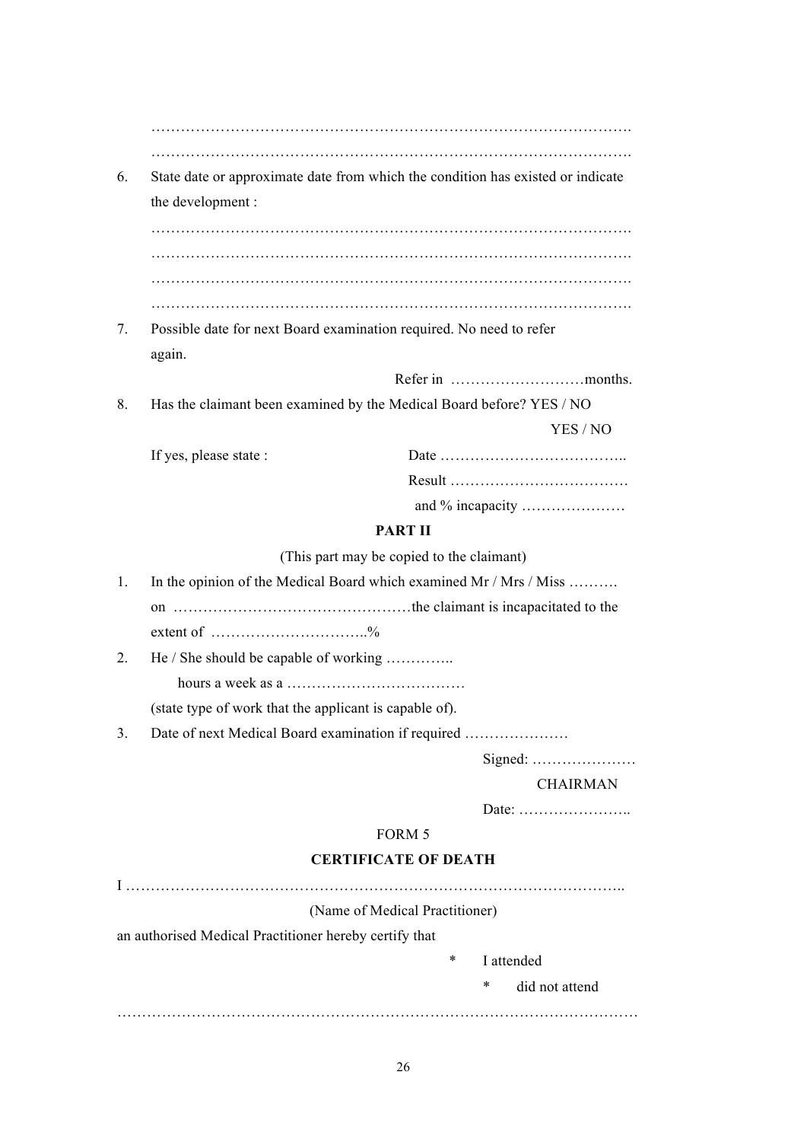…………………………………………………………………………………….

6. State date or approximate date from which the condition has existed or indicate the development :

……………………………………………………………………………………. ……………………………………………………………………………………. …………………………………………………………………………………….

7. Possible date for next Board examination required. No need to refer again.

Refer in ………………………months.

8. Has the claimant been examined by the Medical Board before? YES / NO

| If yes, please state : |  |
|------------------------|--|
|                        |  |
|                        |  |

# **PART II**

(This part may be copied to the claimant)

1. In the opinion of the Medical Board which examined Mr / Mrs / Miss ………. on …………………………………………the claimant is incapacitated to the

extent of  $\dots \dots \dots \dots \dots \dots \dots \dots$ %

2. He / She should be capable of working …………..

hours a week as a ………………………………

(state type of work that the applicant is capable of).

3. Date of next Medical Board examination if required …………………

Signed: …………………

# CHAIRMAN

YES / NO

Date: …………………..

# FORM 5

# **CERTIFICATE OF DEATH**

I ……………………………………………………………………………………….. (Name of Medical Practitioner) an authorised Medical Practitioner hereby certify that I attended \* did not attend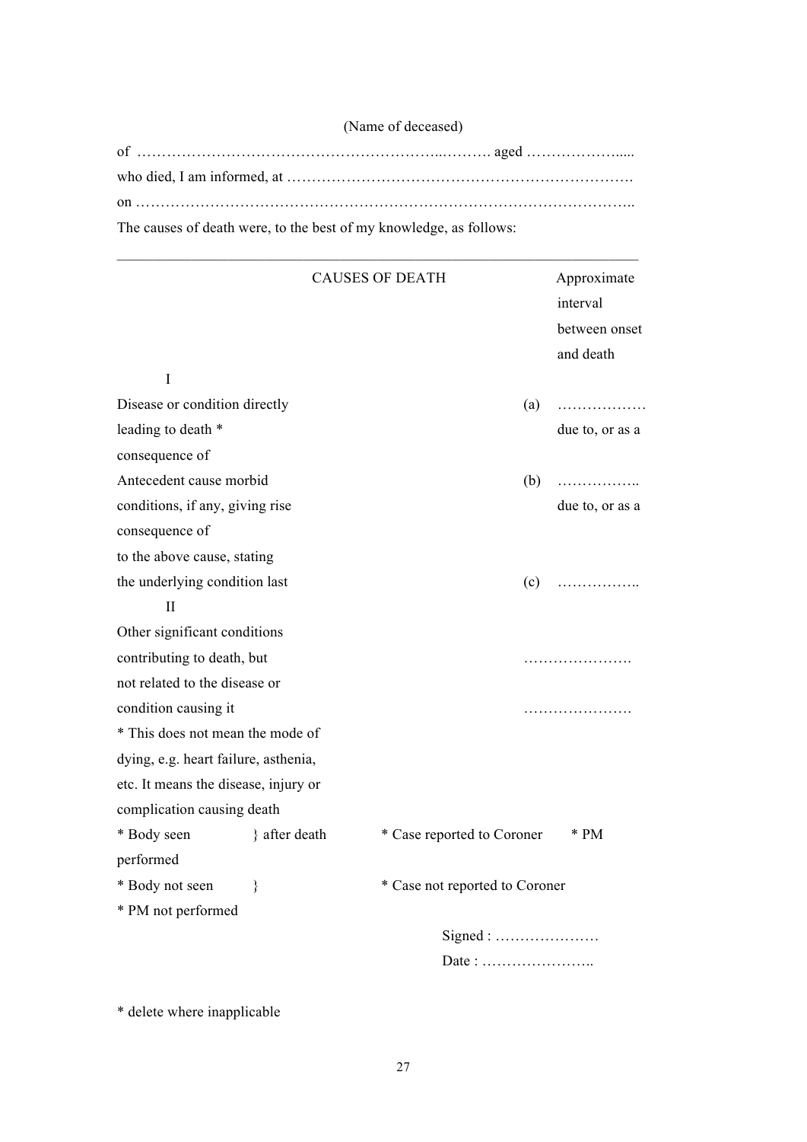| (Name of deceased)                                                 |  |
|--------------------------------------------------------------------|--|
|                                                                    |  |
|                                                                    |  |
|                                                                    |  |
| The causes of death were, to the best of my knowledge, as follows: |  |

| $\mathbf I$                          |               | <b>CAUSES OF DEATH</b>         |     | Approximate<br>interval<br>between onset<br>and death |
|--------------------------------------|---------------|--------------------------------|-----|-------------------------------------------------------|
| Disease or condition directly        |               |                                | (a) | .                                                     |
| leading to death *                   |               |                                |     | due to, or as a                                       |
| consequence of                       |               |                                |     |                                                       |
| Antecedent cause morbid              |               |                                | (b) | .                                                     |
| conditions, if any, giving rise      |               |                                |     | due to, or as a                                       |
| consequence of                       |               |                                |     |                                                       |
| to the above cause, stating          |               |                                |     |                                                       |
| the underlying condition last        |               |                                | (c) | .                                                     |
| $\mathbf{I}$                         |               |                                |     |                                                       |
| Other significant conditions         |               |                                |     |                                                       |
| contributing to death, but           |               |                                |     | .                                                     |
| not related to the disease or        |               |                                |     |                                                       |
| condition causing it                 |               |                                |     | .                                                     |
| * This does not mean the mode of     |               |                                |     |                                                       |
| dying, e.g. heart failure, asthenia, |               |                                |     |                                                       |
| etc. It means the disease, injury or |               |                                |     |                                                       |
| complication causing death           |               |                                |     |                                                       |
| * Body seen                          | } after death | * Case reported to Coroner     |     | * PM                                                  |
| performed                            |               |                                |     |                                                       |
| * Body not seen                      | ∤             | * Case not reported to Coroner |     |                                                       |
| * PM not performed                   |               |                                |     |                                                       |
|                                      |               | Signed:                        |     |                                                       |
|                                      |               | Date:                          |     |                                                       |

\* delete where inapplicable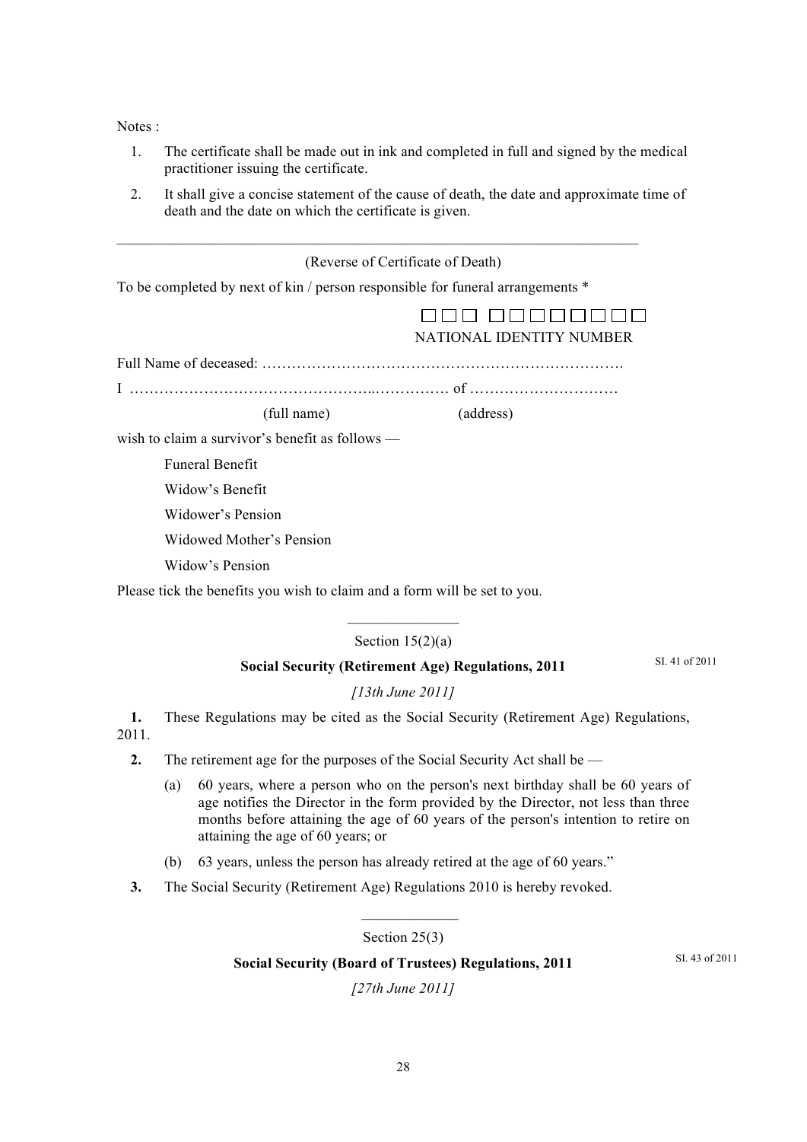Notes :

- 1. The certificate shall be made out in ink and completed in full and signed by the medical practitioner issuing the certificate.
- 2. It shall give a concise statement of the cause of death, the date and approximate time of death and the date on which the certificate is given.

|                                                                                | (Reverse of Certificate of Death)                                                   |
|--------------------------------------------------------------------------------|-------------------------------------------------------------------------------------|
| To be completed by next of kin / person responsible for funeral arrangements * |                                                                                     |
|                                                                                | NATIONAL IDENTITY NUMBER                                                            |
|                                                                                |                                                                                     |
|                                                                                |                                                                                     |
| (full name)                                                                    | (address)                                                                           |
| wish to claim a survivor's benefit as follows —                                |                                                                                     |
| <b>Funeral Benefit</b>                                                         |                                                                                     |
| Widow's Benefit                                                                |                                                                                     |
| <b>Widower's Pension</b>                                                       |                                                                                     |
| <b>Widowed Mother's Pension</b>                                                |                                                                                     |
| Widow's Pension                                                                |                                                                                     |
| Please tick the benefits you wish to claim and a form will be set to you.      |                                                                                     |
|                                                                                | Section $15(2)(a)$                                                                  |
|                                                                                | <b>Social Security (Retirement Age) Regulations, 2011</b>                           |
|                                                                                | [13th June 2011]                                                                    |
| 1.                                                                             | These Regulations may be cited as the Social Security (Retirement Age) Regulations, |

- 2011.
	- **2.** The retirement age for the purposes of the Social Security Act shall be
		- (a) 60 years, where a person who on the person's next birthday shall be 60 years of age notifies the Director in the form provided by the Director, not less than three months before attaining the age of 60 years of the person's intention to retire on attaining the age of 60 years; or
		- (b) 63 years, unless the person has already retired at the age of 60 years."
	- **3.** The Social Security (Retirement Age) Regulations 2010 is hereby revoked.

Section 25(3)

 $\frac{1}{2}$  ,  $\frac{1}{2}$  ,  $\frac{1}{2}$  ,  $\frac{1}{2}$  ,  $\frac{1}{2}$  ,  $\frac{1}{2}$  ,  $\frac{1}{2}$ 

# **Social Security (Board of Trustees) Regulations, 2011**

SI. 43 of 2011

*[27th June 2011]*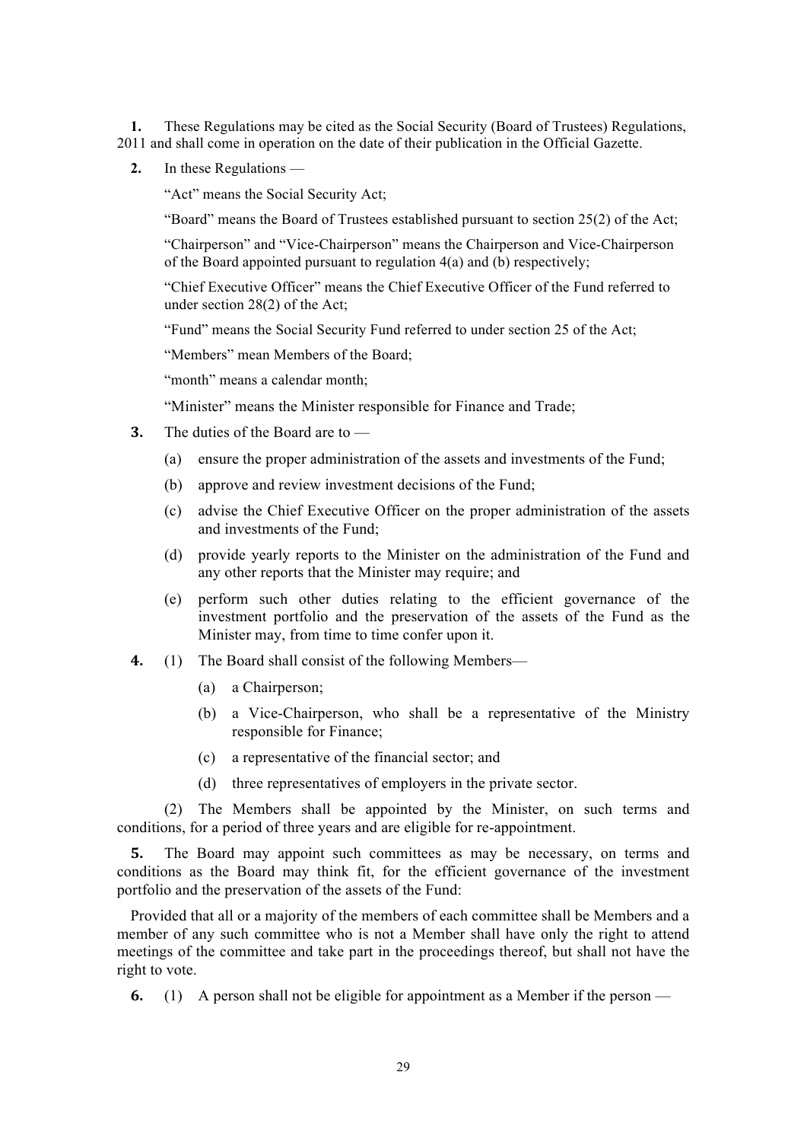**1.** These Regulations may be cited as the Social Security (Board of Trustees) Regulations, 2011 and shall come in operation on the date of their publication in the Official Gazette.

**2.** In these Regulations —

"Act" means the Social Security Act;

"Board" means the Board of Trustees established pursuant to section 25(2) of the Act;

"Chairperson" and "Vice-Chairperson" means the Chairperson and Vice-Chairperson of the Board appointed pursuant to regulation  $4(a)$  and (b) respectively;

"Chief Executive Officer" means the Chief Executive Officer of the Fund referred to under section 28(2) of the Act;

"Fund" means the Social Security Fund referred to under section 25 of the Act;

"Members" mean Members of the Board;

"month" means a calendar month:

"Minister" means the Minister responsible for Finance and Trade;

- **3.** The duties of the Board are to
	- (a) ensure the proper administration of the assets and investments of the Fund;
	- (b) approve and review investment decisions of the Fund;
	- (c) advise the Chief Executive Officer on the proper administration of the assets and investments of the Fund;
	- (d) provide yearly reports to the Minister on the administration of the Fund and any other reports that the Minister may require; and
	- (e) perform such other duties relating to the efficient governance of the investment portfolio and the preservation of the assets of the Fund as the Minister may, from time to time confer upon it.
- **4.** (1) The Board shall consist of the following Members—
	- (a) a Chairperson;
	- (b) a Vice-Chairperson, who shall be a representative of the Ministry responsible for Finance;
	- (c) a representative of the financial sector; and
	- (d) three representatives of employers in the private sector.

(2) The Members shall be appointed by the Minister, on such terms and conditions, for a period of three years and are eligible for re-appointment.

**5.** The Board may appoint such committees as may be necessary, on terms and conditions as the Board may think fit, for the efficient governance of the investment portfolio and the preservation of the assets of the Fund:

Provided that all or a majority of the members of each committee shall be Members and a member of any such committee who is not a Member shall have only the right to attend meetings of the committee and take part in the proceedings thereof, but shall not have the right to vote.

**6.** (1) A person shall not be eligible for appointment as a Member if the person —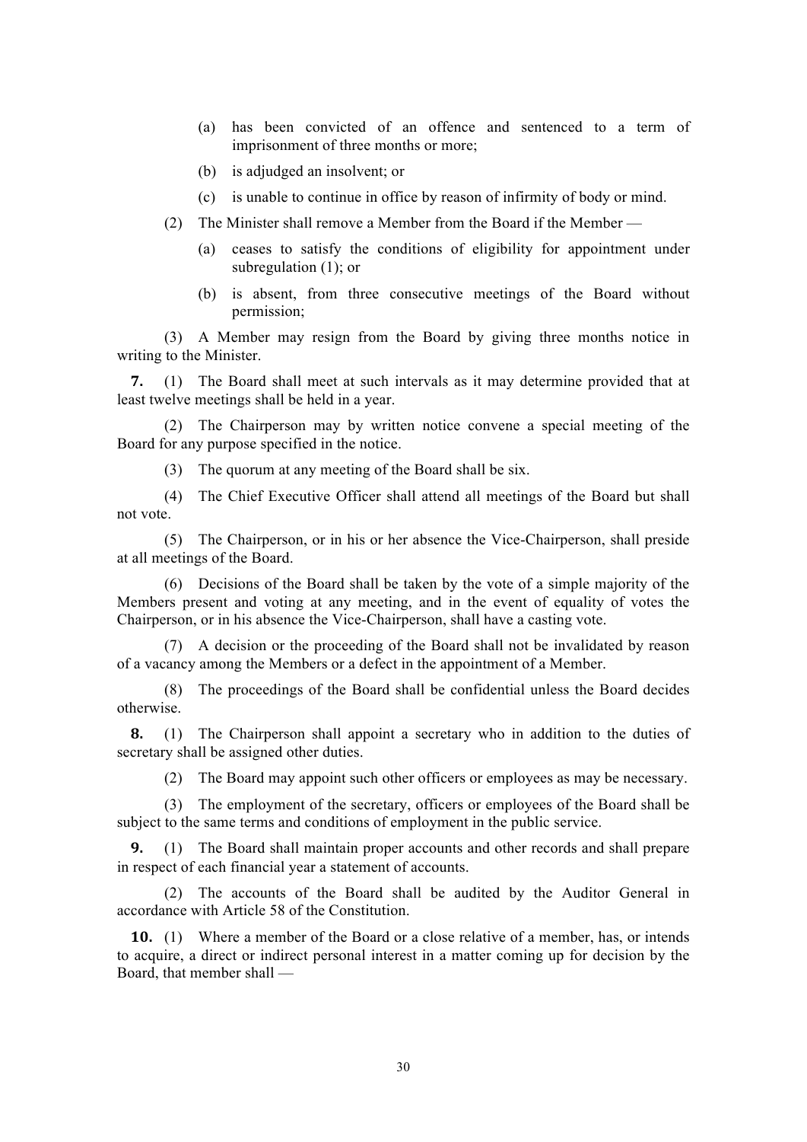- (a) has been convicted of an offence and sentenced to a term of imprisonment of three months or more;
- (b) is adjudged an insolvent; or
- (c) is unable to continue in office by reason of infirmity of body or mind.
- (2) The Minister shall remove a Member from the Board if the Member
	- (a) ceases to satisfy the conditions of eligibility for appointment under subregulation (1); or
	- (b) is absent, from three consecutive meetings of the Board without permission;

(3) A Member may resign from the Board by giving three months notice in writing to the Minister.

**7.** (1) The Board shall meet at such intervals as it may determine provided that at least twelve meetings shall be held in a year.

(2) The Chairperson may by written notice convene a special meeting of the Board for any purpose specified in the notice.

(3) The quorum at any meeting of the Board shall be six.

(4) The Chief Executive Officer shall attend all meetings of the Board but shall not vote.

(5) The Chairperson, or in his or her absence the Vice-Chairperson, shall preside at all meetings of the Board.

(6) Decisions of the Board shall be taken by the vote of a simple majority of the Members present and voting at any meeting, and in the event of equality of votes the Chairperson, or in his absence the Vice-Chairperson, shall have a casting vote.

(7) A decision or the proceeding of the Board shall not be invalidated by reason of a vacancy among the Members or a defect in the appointment of a Member.

(8) The proceedings of the Board shall be confidential unless the Board decides otherwise.

**8.** (1) The Chairperson shall appoint a secretary who in addition to the duties of secretary shall be assigned other duties.

(2) The Board may appoint such other officers or employees as may be necessary.

(3) The employment of the secretary, officers or employees of the Board shall be subject to the same terms and conditions of employment in the public service.

**9.** (1) The Board shall maintain proper accounts and other records and shall prepare in respect of each financial year a statement of accounts.

(2) The accounts of the Board shall be audited by the Auditor General in accordance with Article 58 of the Constitution.

**10.** (1) Where a member of the Board or a close relative of a member, has, or intends to acquire, a direct or indirect personal interest in a matter coming up for decision by the Board, that member shall —